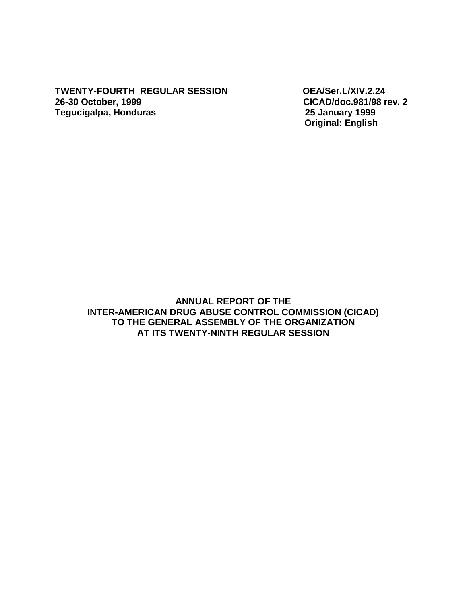**TWENTY-FOURTH REGULAR SESSION OEA/Ser.L/XIV.2.24 26-30 October, 1999 CICAD/doc.981/98 rev. 2 Tegucigalpa, Honduras 25 January 1999** 

 **Original: English** 

**ANNUAL REPORT OF THE INTER-AMERICAN DRUG ABUSE CONTROL COMMISSION (CICAD) TO THE GENERAL ASSEMBLY OF THE ORGANIZATION AT ITS TWENTY-NINTH REGULAR SESSION**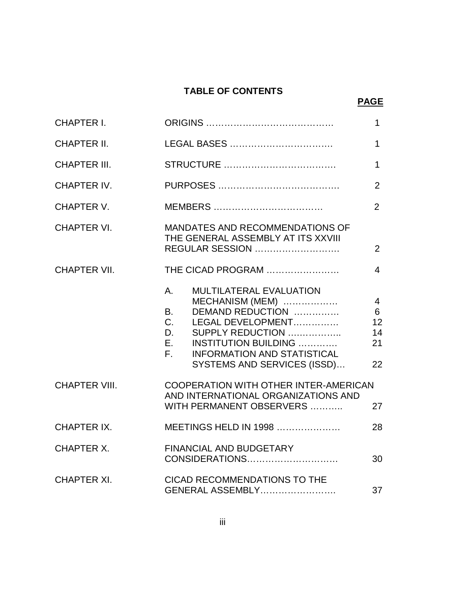# **TABLE OF CONTENTS**

# **PAGE**

| <b>CHAPTER I.</b>    |                                                                                                                                                                                                                                                                 |                                             |
|----------------------|-----------------------------------------------------------------------------------------------------------------------------------------------------------------------------------------------------------------------------------------------------------------|---------------------------------------------|
| <b>CHAPTER II.</b>   |                                                                                                                                                                                                                                                                 |                                             |
| <b>CHAPTER III.</b>  |                                                                                                                                                                                                                                                                 |                                             |
| CHAPTER IV.          |                                                                                                                                                                                                                                                                 | $\overline{2}$                              |
| CHAPTER V.           |                                                                                                                                                                                                                                                                 | $\overline{2}$                              |
| <b>CHAPTER VI.</b>   | MANDATES AND RECOMMENDATIONS OF<br>THE GENERAL ASSEMBLY AT ITS XXVIII<br><b>REGULAR SESSION</b>                                                                                                                                                                 | $\overline{2}$                              |
| <b>CHAPTER VII.</b>  | THE CICAD PROGRAM                                                                                                                                                                                                                                               | $\overline{4}$                              |
|                      | <b>MULTILATERAL EVALUATION</b><br>Α.<br>MECHANISM (MEM)<br>DEMAND REDUCTION<br><b>B.</b><br>C.<br>LEGAL DEVELOPMENT<br>SUPPLY REDUCTION<br>D.<br>E.,<br><b>INSTITUTION BUILDING </b><br><b>INFORMATION AND STATISTICAL</b><br>F.<br>SYSTEMS AND SERVICES (ISSD) | $\overline{4}$<br>6<br>12<br>14<br>21<br>22 |
| <b>CHAPTER VIII.</b> | COOPERATION WITH OTHER INTER-AMERICAN<br>AND INTERNATIONAL ORGANIZATIONS AND<br>WITH PERMANENT OBSERVERS                                                                                                                                                        | 27                                          |
| CHAPTER IX.          | MEETINGS HELD IN 1998                                                                                                                                                                                                                                           | 28                                          |
| CHAPTER X.           | <b>FINANCIAL AND BUDGETARY</b><br>CONSIDERATIONS                                                                                                                                                                                                                | 30                                          |
| <b>CHAPTER XI.</b>   | CICAD RECOMMENDATIONS TO THE<br>GENERAL ASSEMBLY<br>37                                                                                                                                                                                                          |                                             |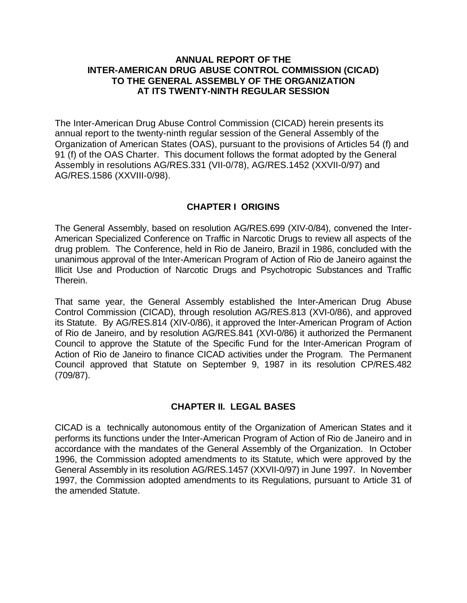#### **ANNUAL REPORT OF THE INTER-AMERICAN DRUG ABUSE CONTROL COMMISSION (CICAD) TO THE GENERAL ASSEMBLY OF THE ORGANIZATION AT ITS TWENTY-NINTH REGULAR SESSION**

The Inter-American Drug Abuse Control Commission (CICAD) herein presents its annual report to the twenty-ninth regular session of the General Assembly of the Organization of American States (OAS), pursuant to the provisions of Articles 54 (f) and 91 (f) of the OAS Charter. This document follows the format adopted by the General Assembly in resolutions AG/RES.331 (VII-0/78), AG/RES.1452 (XXVII-0/97) and AG/RES.1586 (XXVIII-0/98).

### **CHAPTER I ORIGINS**

The General Assembly, based on resolution AG/RES.699 (XIV-0/84), convened the Inter-American Specialized Conference on Traffic in Narcotic Drugs to review all aspects of the drug problem. The Conference, held in Rio de Janeiro, Brazil in 1986, concluded with the unanimous approval of the Inter-American Program of Action of Rio de Janeiro against the Illicit Use and Production of Narcotic Drugs and Psychotropic Substances and Traffic Therein.

That same year, the General Assembly established the Inter-American Drug Abuse Control Commission (CICAD), through resolution AG/RES.813 (XVI-0/86), and approved its Statute. By AG/RES.814 (XIV-0/86), it approved the Inter-American Program of Action of Rio de Janeiro, and by resolution AG/RES.841 (XVI-0/86) it authorized the Permanent Council to approve the Statute of the Specific Fund for the Inter-American Program of Action of Rio de Janeiro to finance CICAD activities under the Program. The Permanent Council approved that Statute on September 9, 1987 in its resolution CP/RES.482 (709/87).

### **CHAPTER II. LEGAL BASES**

CICAD is a technically autonomous entity of the Organization of American States and it performs its functions under the Inter-American Program of Action of Rio de Janeiro and in accordance with the mandates of the General Assembly of the Organization. In October 1996, the Commission adopted amendments to its Statute, which were approved by the General Assembly in its resolution AG/RES.1457 (XXVII-0/97) in June 1997. In November 1997, the Commission adopted amendments to its Regulations, pursuant to Article 31 of the amended Statute.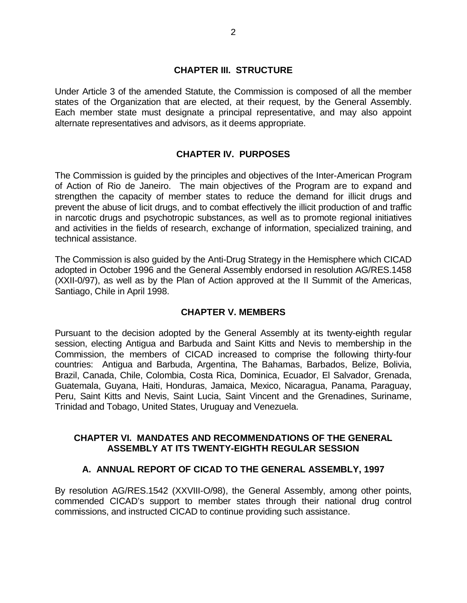### **CHAPTER III. STRUCTURE**

Under Article 3 of the amended Statute, the Commission is composed of all the member states of the Organization that are elected, at their request, by the General Assembly. Each member state must designate a principal representative, and may also appoint alternate representatives and advisors, as it deems appropriate.

### **CHAPTER IV. PURPOSES**

The Commission is guided by the principles and objectives of the Inter-American Program of Action of Rio de Janeiro. The main objectives of the Program are to expand and strengthen the capacity of member states to reduce the demand for illicit drugs and prevent the abuse of licit drugs, and to combat effectively the illicit production of and traffic in narcotic drugs and psychotropic substances, as well as to promote regional initiatives and activities in the fields of research, exchange of information, specialized training, and technical assistance.

The Commission is also guided by the Anti-Drug Strategy in the Hemisphere which CICAD adopted in October 1996 and the General Assembly endorsed in resolution AG/RES.1458 (XXII-0/97), as well as by the Plan of Action approved at the II Summit of the Americas, Santiago, Chile in April 1998.

### **CHAPTER V. MEMBERS**

Pursuant to the decision adopted by the General Assembly at its twenty-eighth regular session, electing Antigua and Barbuda and Saint Kitts and Nevis to membership in the Commission, the members of CICAD increased to comprise the following thirty-four countries: Antigua and Barbuda, Argentina, The Bahamas, Barbados, Belize, Bolivia, Brazil, Canada, Chile, Colombia, Costa Rica, Dominica, Ecuador, El Salvador, Grenada, Guatemala, Guyana, Haiti, Honduras, Jamaica, Mexico, Nicaragua, Panama, Paraguay, Peru, Saint Kitts and Nevis, Saint Lucia, Saint Vincent and the Grenadines, Suriname, Trinidad and Tobago, United States, Uruguay and Venezuela.

### **CHAPTER VI. MANDATES AND RECOMMENDATIONS OF THE GENERAL ASSEMBLY AT ITS TWENTY-EIGHTH REGULAR SESSION**

### **A. ANNUAL REPORT OF CICAD TO THE GENERAL ASSEMBLY, 1997**

By resolution AG/RES.1542 (XXVIII-O/98), the General Assembly, among other points, commended CICAD's support to member states through their national drug control commissions, and instructed CICAD to continue providing such assistance.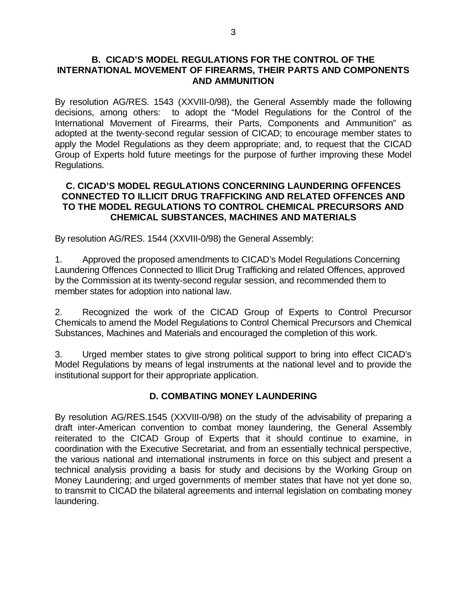#### **B. CICAD'S MODEL REGULATIONS FOR THE CONTROL OF THE INTERNATIONAL MOVEMENT OF FIREARMS, THEIR PARTS AND COMPONENTS AND AMMUNITION**

By resolution AG/RES. 1543 (XXVIII-0/98), the General Assembly made the following decisions, among others: to adopt the "Model Regulations for the Control of the International Movement of Firearms, their Parts, Components and Ammunition" as adopted at the twenty-second regular session of CICAD; to encourage member states to apply the Model Regulations as they deem appropriate; and, to request that the CICAD Group of Experts hold future meetings for the purpose of further improving these Model Regulations.

### **C. CICAD'S MODEL REGULATIONS CONCERNING LAUNDERING OFFENCES CONNECTED TO ILLICIT DRUG TRAFFICKING AND RELATED OFFENCES AND TO THE MODEL REGULATIONS TO CONTROL CHEMICAL PRECURSORS AND CHEMICAL SUBSTANCES, MACHINES AND MATERIALS**

By resolution AG/RES. 1544 (XXVIII-0/98) the General Assembly:

1. Approved the proposed amendments to CICAD's Model Regulations Concerning Laundering Offences Connected to Illicit Drug Trafficking and related Offences, approved by the Commission at its twenty-second regular session, and recommended them to member states for adoption into national law.

2. Recognized the work of the CICAD Group of Experts to Control Precursor Chemicals to amend the Model Regulations to Control Chemical Precursors and Chemical Substances, Machines and Materials and encouraged the completion of this work.

3. Urged member states to give strong political support to bring into effect CICAD's Model Regulations by means of legal instruments at the national level and to provide the institutional support for their appropriate application.

### **D. COMBATING MONEY LAUNDERING**

By resolution AG/RES.1545 (XXVIII-0/98) on the study of the advisability of preparing a draft inter-American convention to combat money laundering, the General Assembly reiterated to the CICAD Group of Experts that it should continue to examine, in coordination with the Executive Secretariat, and from an essentially technical perspective, the various national and international instruments in force on this subject and present a technical analysis providing a basis for study and decisions by the Working Group on Money Laundering; and urged governments of member states that have not yet done so, to transmit to CICAD the bilateral agreements and internal legislation on combating money laundering.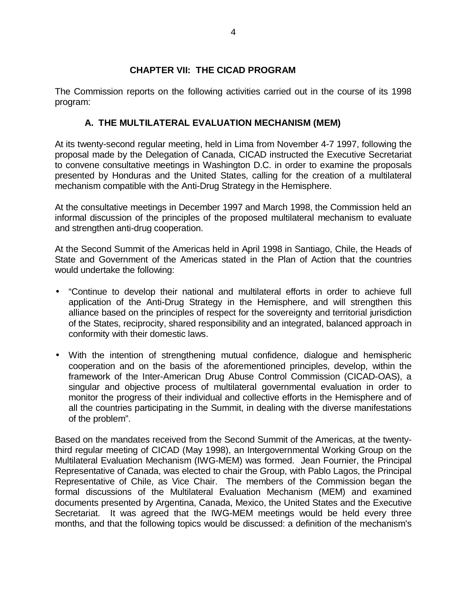### **CHAPTER VII: THE CICAD PROGRAM**

The Commission reports on the following activities carried out in the course of its 1998 program:

### **A. THE MULTILATERAL EVALUATION MECHANISM (MEM)**

At its twenty-second regular meeting, held in Lima from November 4-7 1997, following the proposal made by the Delegation of Canada, CICAD instructed the Executive Secretariat to convene consultative meetings in Washington D.C. in order to examine the proposals presented by Honduras and the United States, calling for the creation of a multilateral mechanism compatible with the Anti-Drug Strategy in the Hemisphere.

At the consultative meetings in December 1997 and March 1998, the Commission held an informal discussion of the principles of the proposed multilateral mechanism to evaluate and strengthen anti-drug cooperation.

At the Second Summit of the Americas held in April 1998 in Santiago, Chile, the Heads of State and Government of the Americas stated in the Plan of Action that the countries would undertake the following:

- "Continue to develop their national and multilateral efforts in order to achieve full application of the Anti-Drug Strategy in the Hemisphere, and will strengthen this alliance based on the principles of respect for the sovereignty and territorial jurisdiction of the States, reciprocity, shared responsibility and an integrated, balanced approach in conformity with their domestic laws.
- With the intention of strengthening mutual confidence, dialogue and hemispheric cooperation and on the basis of the aforementioned principles, develop, within the framework of the Inter-American Drug Abuse Control Commission (CICAD-OAS), a singular and objective process of multilateral governmental evaluation in order to monitor the progress of their individual and collective efforts in the Hemisphere and of all the countries participating in the Summit, in dealing with the diverse manifestations of the problem".

Based on the mandates received from the Second Summit of the Americas, at the twentythird regular meeting of CICAD (May 1998), an Intergovernmental Working Group on the Multilateral Evaluation Mechanism (IWG-MEM) was formed. Jean Fournier, the Principal Representative of Canada, was elected to chair the Group, with Pablo Lagos, the Principal Representative of Chile, as Vice Chair. The members of the Commission began the formal discussions of the Multilateral Evaluation Mechanism (MEM) and examined documents presented by Argentina, Canada, Mexico, the United States and the Executive Secretariat. It was agreed that the IWG-MEM meetings would be held every three months, and that the following topics would be discussed: a definition of the mechanism's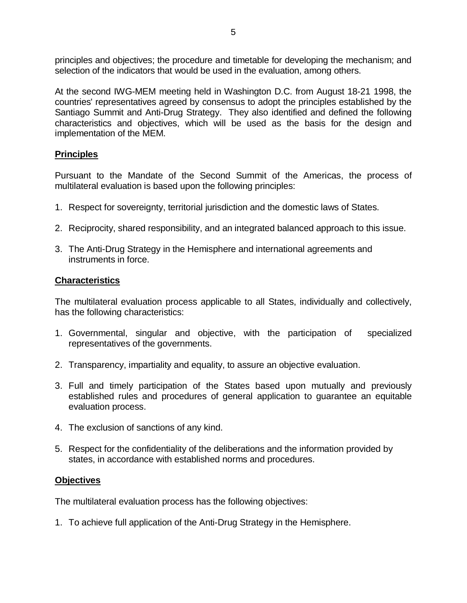principles and objectives; the procedure and timetable for developing the mechanism; and selection of the indicators that would be used in the evaluation, among others.

At the second IWG-MEM meeting held in Washington D.C. from August 18-21 1998, the countries' representatives agreed by consensus to adopt the principles established by the Santiago Summit and Anti-Drug Strategy. They also identified and defined the following characteristics and objectives, which will be used as the basis for the design and implementation of the MEM.

### **Principles**

Pursuant to the Mandate of the Second Summit of the Americas, the process of multilateral evaluation is based upon the following principles:

- 1. Respect for sovereignty, territorial jurisdiction and the domestic laws of States.
- 2. Reciprocity, shared responsibility, and an integrated balanced approach to this issue.
- 3. The Anti-Drug Strategy in the Hemisphere and international agreements and instruments in force.

### **Characteristics**

The multilateral evaluation process applicable to all States, individually and collectively, has the following characteristics:

- 1. Governmental, singular and objective, with the participation of specialized representatives of the governments.
- 2. Transparency, impartiality and equality, to assure an objective evaluation.
- 3. Full and timely participation of the States based upon mutually and previously established rules and procedures of general application to guarantee an equitable evaluation process.
- 4. The exclusion of sanctions of any kind.
- 5. Respect for the confidentiality of the deliberations and the information provided by states, in accordance with established norms and procedures.

### **Objectives**

The multilateral evaluation process has the following objectives:

1. To achieve full application of the Anti-Drug Strategy in the Hemisphere.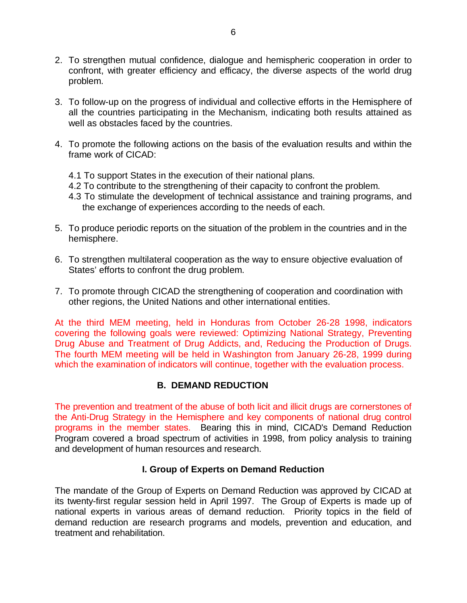- 2. To strengthen mutual confidence, dialogue and hemispheric cooperation in order to confront, with greater efficiency and efficacy, the diverse aspects of the world drug problem.
- 3. To follow-up on the progress of individual and collective efforts in the Hemisphere of all the countries participating in the Mechanism, indicating both results attained as well as obstacles faced by the countries.
- 4. To promote the following actions on the basis of the evaluation results and within the frame work of CICAD:
	- 4.1 To support States in the execution of their national plans.
	- 4.2 To contribute to the strengthening of their capacity to confront the problem.
	- 4.3 To stimulate the development of technical assistance and training programs, and the exchange of experiences according to the needs of each.
- 5. To produce periodic reports on the situation of the problem in the countries and in the hemisphere.
- 6. To strengthen multilateral cooperation as the way to ensure objective evaluation of States' efforts to confront the drug problem.
- 7. To promote through CICAD the strengthening of cooperation and coordination with other regions, the United Nations and other international entities.

At the third MEM meeting, held in Honduras from October 26-28 1998, indicators covering the following goals were reviewed: Optimizing National Strategy, Preventing Drug Abuse and Treatment of Drug Addicts, and, Reducing the Production of Drugs. The fourth MEM meeting will be held in Washington from January 26-28, 1999 during which the examination of indicators will continue, together with the evaluation process.

### **B. DEMAND REDUCTION**

The prevention and treatment of the abuse of both licit and illicit drugs are cornerstones of the Anti-Drug Strategy in the Hemisphere and key components of national drug control programs in the member states. Bearing this in mind, CICAD's Demand Reduction Program covered a broad spectrum of activities in 1998, from policy analysis to training and development of human resources and research.

### **I. Group of Experts on Demand Reduction**

The mandate of the Group of Experts on Demand Reduction was approved by CICAD at its twenty-first regular session held in April 1997. The Group of Experts is made up of national experts in various areas of demand reduction. Priority topics in the field of demand reduction are research programs and models, prevention and education, and treatment and rehabilitation.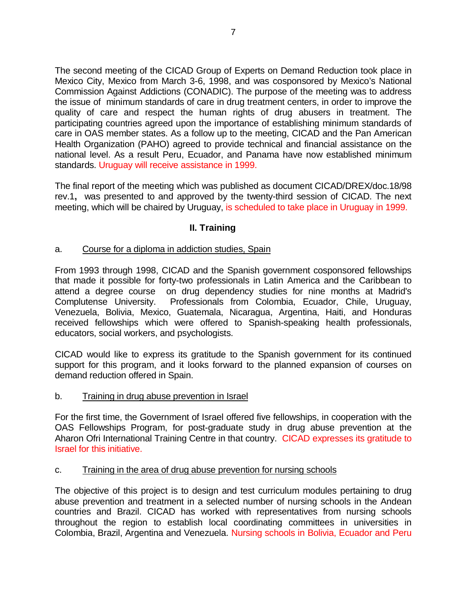The second meeting of the CICAD Group of Experts on Demand Reduction took place in Mexico City, Mexico from March 3-6, 1998, and was cosponsored by Mexico's National Commission Against Addictions (CONADIC). The purpose of the meeting was to address the issue of minimum standards of care in drug treatment centers, in order to improve the quality of care and respect the human rights of drug abusers in treatment. The participating countries agreed upon the importance of establishing minimum standards of care in OAS member states. As a follow up to the meeting, CICAD and the Pan American Health Organization (PAHO) agreed to provide technical and financial assistance on the national level. As a result Peru, Ecuador, and Panama have now established minimum standards. Uruguay will receive assistance in 1999.

The final report of the meeting which was published as document CICAD/DREX/doc.18/98 rev.1**,** was presented to and approved by the twenty-third session of CICAD. The next meeting, which will be chaired by Uruguay, is scheduled to take place in Uruguay in 1999.

### **II. Training**

### a. Course for a diploma in addiction studies, Spain

From 1993 through 1998, CICAD and the Spanish government cosponsored fellowships that made it possible for forty-two professionals in Latin America and the Caribbean to attend a degree course on drug dependency studies for nine months at Madrid's Complutense University. Professionals from Colombia, Ecuador, Chile, Uruguay, Venezuela, Bolivia, Mexico, Guatemala, Nicaragua, Argentina, Haiti, and Honduras received fellowships which were offered to Spanish-speaking health professionals, educators, social workers, and psychologists.

CICAD would like to express its gratitude to the Spanish government for its continued support for this program, and it looks forward to the planned expansion of courses on demand reduction offered in Spain.

#### b. Training in drug abuse prevention in Israel

For the first time, the Government of Israel offered five fellowships, in cooperation with the OAS Fellowships Program, for post-graduate study in drug abuse prevention at the Aharon Ofri International Training Centre in that country. CICAD expresses its gratitude to Israel for this initiative.

#### c. Training in the area of drug abuse prevention for nursing schools

The objective of this project is to design and test curriculum modules pertaining to drug abuse prevention and treatment in a selected number of nursing schools in the Andean countries and Brazil. CICAD has worked with representatives from nursing schools throughout the region to establish local coordinating committees in universities in Colombia, Brazil, Argentina and Venezuela. Nursing schools in Bolivia, Ecuador and Peru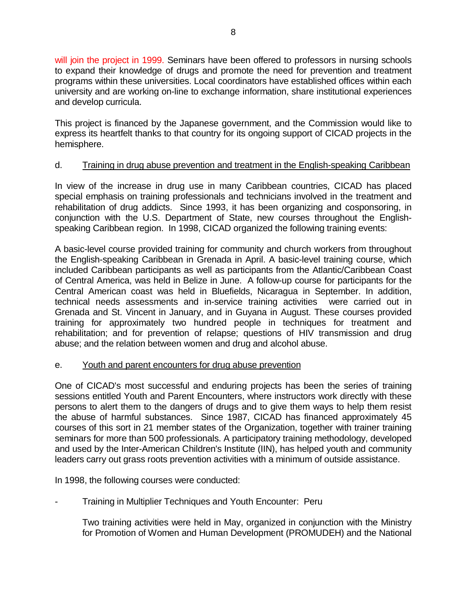will join the project in 1999. Seminars have been offered to professors in nursing schools to expand their knowledge of drugs and promote the need for prevention and treatment programs within these universities. Local coordinators have established offices within each university and are working on-line to exchange information, share institutional experiences and develop curricula.

This project is financed by the Japanese government, and the Commission would like to express its heartfelt thanks to that country for its ongoing support of CICAD projects in the hemisphere.

### d. Training in drug abuse prevention and treatment in the English-speaking Caribbean

In view of the increase in drug use in many Caribbean countries, CICAD has placed special emphasis on training professionals and technicians involved in the treatment and rehabilitation of drug addicts. Since 1993, it has been organizing and cosponsoring, in conjunction with the U.S. Department of State, new courses throughout the Englishspeaking Caribbean region. In 1998, CICAD organized the following training events:

A basic-level course provided training for community and church workers from throughout the English-speaking Caribbean in Grenada in April. A basic-level training course, which included Caribbean participants as well as participants from the Atlantic/Caribbean Coast of Central America, was held in Belize in June. A follow-up course for participants for the Central American coast was held in Bluefields, Nicaragua in September. In addition, technical needs assessments and in-service training activities were carried out in Grenada and St. Vincent in January, and in Guyana in August. These courses provided training for approximately two hundred people in techniques for treatment and rehabilitation; and for prevention of relapse; questions of HIV transmission and drug abuse; and the relation between women and drug and alcohol abuse.

### e. Youth and parent encounters for drug abuse prevention

One of CICAD's most successful and enduring projects has been the series of training sessions entitled Youth and Parent Encounters, where instructors work directly with these persons to alert them to the dangers of drugs and to give them ways to help them resist the abuse of harmful substances. Since 1987, CICAD has financed approximately 45 courses of this sort in 21 member states of the Organization, together with trainer training seminars for more than 500 professionals. A participatory training methodology, developed and used by the Inter-American Children's Institute (IIN), has helped youth and community leaders carry out grass roots prevention activities with a minimum of outside assistance.

In 1998, the following courses were conducted:

- Training in Multiplier Techniques and Youth Encounter: Peru

Two training activities were held in May, organized in conjunction with the Ministry for Promotion of Women and Human Development (PROMUDEH) and the National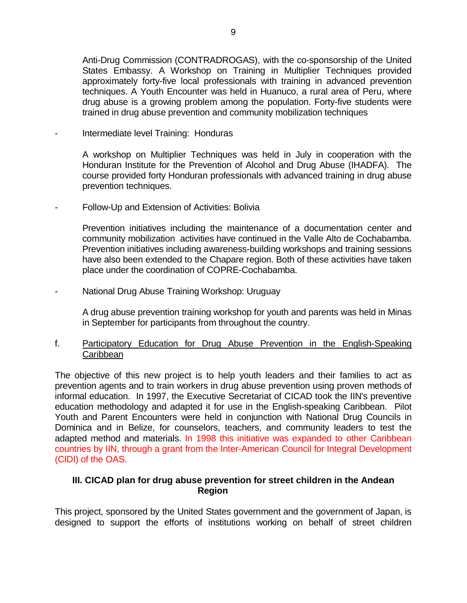Anti-Drug Commission (CONTRADROGAS), with the co-sponsorship of the United States Embassy. A Workshop on Training in Multiplier Techniques provided approximately forty-five local professionals with training in advanced prevention techniques. A Youth Encounter was held in Huanuco, a rural area of Peru, where drug abuse is a growing problem among the population. Forty-five students were trained in drug abuse prevention and community mobilization techniques

Intermediate level Training: Honduras

A workshop on Multiplier Techniques was held in July in cooperation with the Honduran Institute for the Prevention of Alcohol and Drug Abuse (IHADFA). The course provided forty Honduran professionals with advanced training in drug abuse prevention techniques.

Follow-Up and Extension of Activities: Bolivia

Prevention initiatives including the maintenance of a documentation center and community mobilization activities have continued in the Valle Alto de Cochabamba. Prevention initiatives including awareness-building workshops and training sessions have also been extended to the Chapare region. Both of these activities have taken place under the coordination of COPRE-Cochabamba.

National Drug Abuse Training Workshop: Uruguay

A drug abuse prevention training workshop for youth and parents was held in Minas in September for participants from throughout the country.

f. Participatory Education for Drug Abuse Prevention in the English-Speaking **Caribbean** 

The objective of this new project is to help youth leaders and their families to act as prevention agents and to train workers in drug abuse prevention using proven methods of informal education. In 1997, the Executive Secretariat of CICAD took the IIN's preventive education methodology and adapted it for use in the English-speaking Caribbean. Pilot Youth and Parent Encounters were held in conjunction with National Drug Councils in Dominica and in Belize, for counselors, teachers, and community leaders to test the adapted method and materials. In 1998 this initiative was expanded to other Caribbean countries by IIN, through a grant from the Inter-American Council for Integral Development (CIDI) of the OAS.

### **III. CICAD plan for drug abuse prevention for street children in the Andean Region**

This project, sponsored by the United States government and the government of Japan, is designed to support the efforts of institutions working on behalf of street children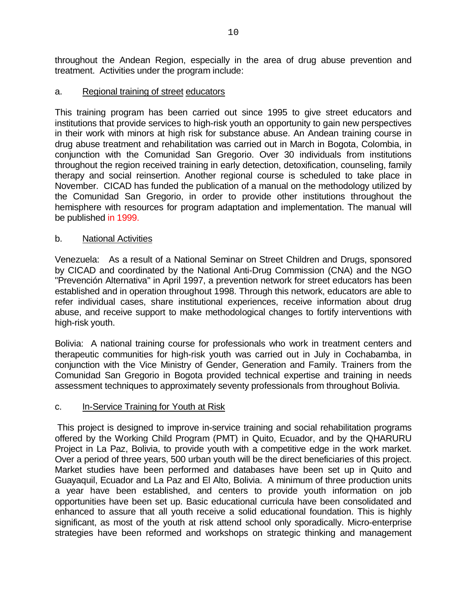throughout the Andean Region, especially in the area of drug abuse prevention and treatment. Activities under the program include:

### a. Regional training of street educators

This training program has been carried out since 1995 to give street educators and institutions that provide services to high-risk youth an opportunity to gain new perspectives in their work with minors at high risk for substance abuse. An Andean training course in drug abuse treatment and rehabilitation was carried out in March in Bogota, Colombia, in conjunction with the Comunidad San Gregorio. Over 30 individuals from institutions throughout the region received training in early detection, detoxification, counseling, family therapy and social reinsertion. Another regional course is scheduled to take place in November. CICAD has funded the publication of a manual on the methodology utilized by the Comunidad San Gregorio, in order to provide other institutions throughout the hemisphere with resources for program adaptation and implementation. The manual will be published in 1999.

### b. National Activities

Venezuela: As a result of a National Seminar on Street Children and Drugs, sponsored by CICAD and coordinated by the National Anti-Drug Commission (CNA) and the NGO "Prevención Alternativa" in April 1997, a prevention network for street educators has been established and in operation throughout 1998. Through this network, educators are able to refer individual cases, share institutional experiences, receive information about drug abuse, and receive support to make methodological changes to fortify interventions with high-risk youth.

Bolivia: A national training course for professionals who work in treatment centers and therapeutic communities for high-risk youth was carried out in July in Cochabamba, in conjunction with the Vice Ministry of Gender, Generation and Family. Trainers from the Comunidad San Gregorio in Bogota provided technical expertise and training in needs assessment techniques to approximately seventy professionals from throughout Bolivia.

### c. In-Service Training for Youth at Risk

This project is designed to improve in-service training and social rehabilitation programs offered by the Working Child Program (PMT) in Quito, Ecuador, and by the QHARURU Project in La Paz, Bolivia, to provide youth with a competitive edge in the work market. Over a period of three years, 500 urban youth will be the direct beneficiaries of this project. Market studies have been performed and databases have been set up in Quito and Guayaquil, Ecuador and La Paz and El Alto, Bolivia. A minimum of three production units a year have been established, and centers to provide youth information on job opportunities have been set up. Basic educational curricula have been consolidated and enhanced to assure that all youth receive a solid educational foundation. This is highly significant, as most of the youth at risk attend school only sporadically. Micro-enterprise strategies have been reformed and workshops on strategic thinking and management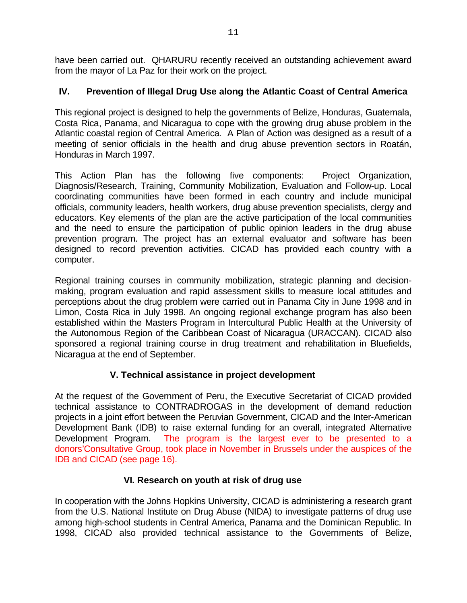have been carried out. QHARURU recently received an outstanding achievement award from the mayor of La Paz for their work on the project.

# **IV. Prevention of Illegal Drug Use along the Atlantic Coast of Central America**

This regional project is designed to help the governments of Belize, Honduras, Guatemala, Costa Rica, Panama, and Nicaragua to cope with the growing drug abuse problem in the Atlantic coastal region of Central America. A Plan of Action was designed as a result of a meeting of senior officials in the health and drug abuse prevention sectors in Roatán, Honduras in March 1997.

This Action Plan has the following five components: Project Organization, Diagnosis/Research, Training, Community Mobilization, Evaluation and Follow-up. Local coordinating communities have been formed in each country and include municipal officials, community leaders, health workers, drug abuse prevention specialists, clergy and educators. Key elements of the plan are the active participation of the local communities and the need to ensure the participation of public opinion leaders in the drug abuse prevention program. The project has an external evaluator and software has been designed to record prevention activities. CICAD has provided each country with a computer.

Regional training courses in community mobilization, strategic planning and decisionmaking, program evaluation and rapid assessment skills to measure local attitudes and perceptions about the drug problem were carried out in Panama City in June 1998 and in Limon, Costa Rica in July 1998. An ongoing regional exchange program has also been established within the Masters Program in Intercultural Public Health at the University of the Autonomous Region of the Caribbean Coast of Nicaragua (URACCAN). CICAD also sponsored a regional training course in drug treatment and rehabilitation in Bluefields, Nicaragua at the end of September.

# **V. Technical assistance in project development**

At the request of the Government of Peru, the Executive Secretariat of CICAD provided technical assistance to CONTRADROGAS in the development of demand reduction projects in a joint effort between the Peruvian Government, CICAD and the Inter-American Development Bank (IDB) to raise external funding for an overall, integrated Alternative Development Program. The program is the largest ever to be presented to a donors'Consultative Group, took place in November in Brussels under the auspices of the IDB and CICAD (see page 16).

### **VI. Research on youth at risk of drug use**

In cooperation with the Johns Hopkins University, CICAD is administering a research grant from the U.S. National Institute on Drug Abuse (NIDA) to investigate patterns of drug use among high-school students in Central America, Panama and the Dominican Republic. In 1998, CICAD also provided technical assistance to the Governments of Belize,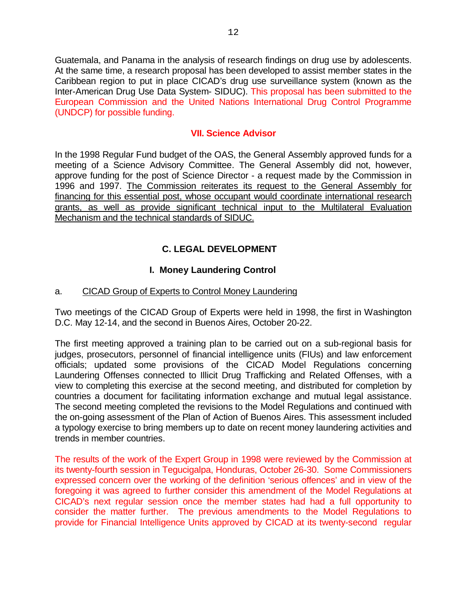Guatemala, and Panama in the analysis of research findings on drug use by adolescents. At the same time, a research proposal has been developed to assist member states in the Caribbean region to put in place CICAD's drug use surveillance system (known as the Inter-American Drug Use Data System- SIDUC). This proposal has been submitted to the European Commission and the United Nations International Drug Control Programme (UNDCP) for possible funding.

### **VII. Science Advisor**

In the 1998 Regular Fund budget of the OAS, the General Assembly approved funds for a meeting of a Science Advisory Committee. The General Assembly did not, however, approve funding for the post of Science Director - a request made by the Commission in 1996 and 1997. The Commission reiterates its request to the General Assembly for financing for this essential post, whose occupant would coordinate international research grants, as well as provide significant technical input to the Multilateral Evaluation Mechanism and the technical standards of SIDUC.

# **C. LEGAL DEVELOPMENT**

### **I. Money Laundering Control**

### a. CICAD Group of Experts to Control Money Laundering

Two meetings of the CICAD Group of Experts were held in 1998, the first in Washington D.C. May 12-14, and the second in Buenos Aires, October 20-22.

The first meeting approved a training plan to be carried out on a sub-regional basis for judges, prosecutors, personnel of financial intelligence units (FIUs) and law enforcement officials; updated some provisions of the CICAD Model Regulations concerning Laundering Offenses connected to Illicit Drug Trafficking and Related Offenses, with a view to completing this exercise at the second meeting, and distributed for completion by countries a document for facilitating information exchange and mutual legal assistance. The second meeting completed the revisions to the Model Regulations and continued with the on-going assessment of the Plan of Action of Buenos Aires. This assessment included a typology exercise to bring members up to date on recent money laundering activities and trends in member countries.

The results of the work of the Expert Group in 1998 were reviewed by the Commission at its twenty-fourth session in Tegucigalpa, Honduras, October 26-30. Some Commissioners expressed concern over the working of the definition 'serious offences' and in view of the foregoing it was agreed to further consider this amendment of the Model Regulations at CICAD's next regular session once the member states had had a full opportunity to consider the matter further. The previous amendments to the Model Regulations to provide for Financial Intelligence Units approved by CICAD at its twenty-second regular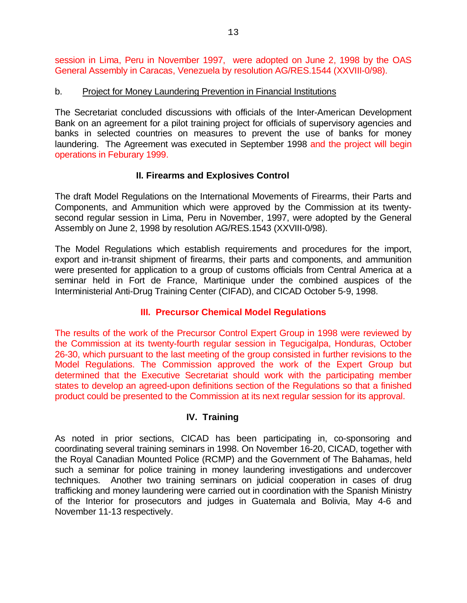session in Lima, Peru in November 1997, were adopted on June 2, 1998 by the OAS General Assembly in Caracas, Venezuela by resolution AG/RES.1544 (XXVIII-0/98).

#### b. Project for Money Laundering Prevention in Financial Institutions

The Secretariat concluded discussions with officials of the Inter-American Development Bank on an agreement for a pilot training project for officials of supervisory agencies and banks in selected countries on measures to prevent the use of banks for money laundering. The Agreement was executed in September 1998 and the project will begin operations in Feburary 1999.

### **II. Firearms and Explosives Control**

The draft Model Regulations on the International Movements of Firearms, their Parts and Components, and Ammunition which were approved by the Commission at its twentysecond regular session in Lima, Peru in November, 1997, were adopted by the General Assembly on June 2, 1998 by resolution AG/RES.1543 (XXVIII-0/98).

The Model Regulations which establish requirements and procedures for the import, export and in-transit shipment of firearms, their parts and components, and ammunition were presented for application to a group of customs officials from Central America at a seminar held in Fort de France, Martinique under the combined auspices of the Interministerial Anti-Drug Training Center (CIFAD), and CICAD October 5-9, 1998.

### **III. Precursor Chemical Model Regulations**

The results of the work of the Precursor Control Expert Group in 1998 were reviewed by the Commission at its twenty-fourth regular session in Tegucigalpa, Honduras, October 26-30, which pursuant to the last meeting of the group consisted in further revisions to the Model Regulations. The Commission approved the work of the Expert Group but determined that the Executive Secretariat should work with the participating member states to develop an agreed-upon definitions section of the Regulations so that a finished product could be presented to the Commission at its next regular session for its approval.

### **IV. Training**

As noted in prior sections, CICAD has been participating in, co-sponsoring and coordinating several training seminars in 1998. On November 16-20, CICAD, together with the Royal Canadian Mounted Police (RCMP) and the Government of The Bahamas, held such a seminar for police training in money laundering investigations and undercover techniques. Another two training seminars on judicial cooperation in cases of drug trafficking and money laundering were carried out in coordination with the Spanish Ministry of the Interior for prosecutors and judges in Guatemala and Bolivia, May 4-6 and November 11-13 respectively.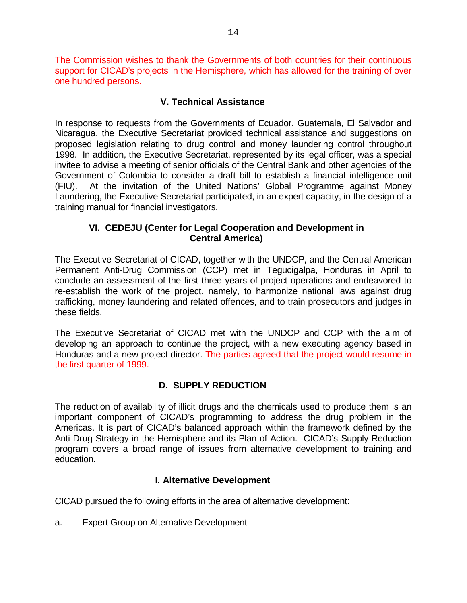The Commission wishes to thank the Governments of both countries for their continuous support for CICAD's projects in the Hemisphere, which has allowed for the training of over one hundred persons.

### **V. Technical Assistance**

In response to requests from the Governments of Ecuador, Guatemala, El Salvador and Nicaragua, the Executive Secretariat provided technical assistance and suggestions on proposed legislation relating to drug control and money laundering control throughout 1998. In addition, the Executive Secretariat, represented by its legal officer, was a special invitee to advise a meeting of senior officials of the Central Bank and other agencies of the Government of Colombia to consider a draft bill to establish a financial intelligence unit (FIU). At the invitation of the United Nations' Global Programme against Money Laundering, the Executive Secretariat participated, in an expert capacity, in the design of a training manual for financial investigators.

### **VI. CEDEJU (Center for Legal Cooperation and Development in Central America)**

The Executive Secretariat of CICAD, together with the UNDCP, and the Central American Permanent Anti-Drug Commission (CCP) met in Tegucigalpa, Honduras in April to conclude an assessment of the first three years of project operations and endeavored to re-establish the work of the project, namely, to harmonize national laws against drug trafficking, money laundering and related offences, and to train prosecutors and judges in these fields.

The Executive Secretariat of CICAD met with the UNDCP and CCP with the aim of developing an approach to continue the project, with a new executing agency based in Honduras and a new project director. The parties agreed that the project would resume in the first quarter of 1999.

### **D. SUPPLY REDUCTION**

The reduction of availability of illicit drugs and the chemicals used to produce them is an important component of CICAD's programming to address the drug problem in the Americas. It is part of CICAD's balanced approach within the framework defined by the Anti-Drug Strategy in the Hemisphere and its Plan of Action. CICAD's Supply Reduction program covers a broad range of issues from alternative development to training and education.

### **I. Alternative Development**

CICAD pursued the following efforts in the area of alternative development:

a. Expert Group on Alternative Development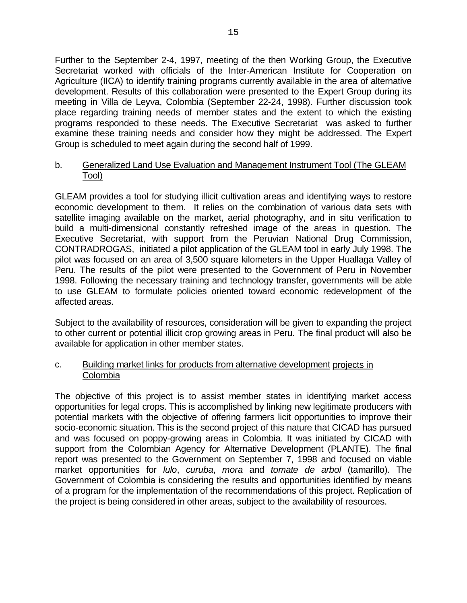Further to the September 2-4, 1997, meeting of the then Working Group, the Executive Secretariat worked with officials of the Inter-American Institute for Cooperation on Agriculture (IICA) to identify training programs currently available in the area of alternative development. Results of this collaboration were presented to the Expert Group during its meeting in Villa de Leyva, Colombia (September 22-24, 1998). Further discussion took place regarding training needs of member states and the extent to which the existing programs responded to these needs. The Executive Secretariat was asked to further examine these training needs and consider how they might be addressed. The Expert Group is scheduled to meet again during the second half of 1999.

#### b. Generalized Land Use Evaluation and Management Instrument Tool (The GLEAM Tool)

GLEAM provides a tool for studying illicit cultivation areas and identifying ways to restore economic development to them. It relies on the combination of various data sets with satellite imaging available on the market, aerial photography, and in situ verification to build a multi-dimensional constantly refreshed image of the areas in question. The Executive Secretariat, with support from the Peruvian National Drug Commission, CONTRADROGAS, initiated a pilot application of the GLEAM tool in early July 1998. The pilot was focused on an area of 3,500 square kilometers in the Upper Huallaga Valley of Peru. The results of the pilot were presented to the Government of Peru in November 1998. Following the necessary training and technology transfer, governments will be able to use GLEAM to formulate policies oriented toward economic redevelopment of the affected areas.

Subject to the availability of resources, consideration will be given to expanding the project to other current or potential illicit crop growing areas in Peru. The final product will also be available for application in other member states.

### c. Building market links for products from alternative development projects in Colombia

The objective of this project is to assist member states in identifying market access opportunities for legal crops. This is accomplished by linking new legitimate producers with potential markets with the objective of offering farmers licit opportunities to improve their socio-economic situation. This is the second project of this nature that CICAD has pursued and was focused on poppy-growing areas in Colombia. It was initiated by CICAD with support from the Colombian Agency for Alternative Development (PLANTE). The final report was presented to the Government on September 7, 1998 and focused on viable market opportunities for *lulo*, *curuba*, *mora* and *tomate de arbol* (tamarillo). The Government of Colombia is considering the results and opportunities identified by means of a program for the implementation of the recommendations of this project. Replication of the project is being considered in other areas, subject to the availability of resources.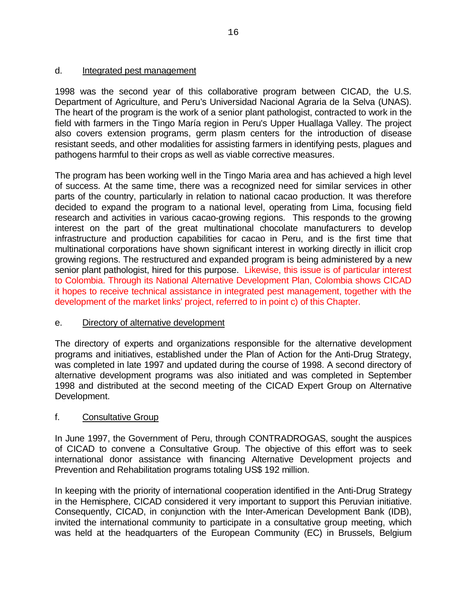### d. Integrated pest management

1998 was the second year of this collaborative program between CICAD, the U.S. Department of Agriculture, and Peru's Universidad Nacional Agraria de la Selva (UNAS). The heart of the program is the work of a senior plant pathologist, contracted to work in the field with farmers in the Tingo María region in Peru's Upper Huallaga Valley. The project also covers extension programs, germ plasm centers for the introduction of disease resistant seeds, and other modalities for assisting farmers in identifying pests, plagues and pathogens harmful to their crops as well as viable corrective measures.

The program has been working well in the Tingo Maria area and has achieved a high level of success. At the same time, there was a recognized need for similar services in other parts of the country, particularly in relation to national cacao production. It was therefore decided to expand the program to a national level, operating from Lima, focusing field research and activities in various cacao-growing regions. This responds to the growing interest on the part of the great multinational chocolate manufacturers to develop infrastructure and production capabilities for cacao in Peru, and is the first time that multinational corporations have shown significant interest in working directly in illicit crop growing regions. The restructured and expanded program is being administered by a new senior plant pathologist, hired for this purpose. Likewise, this issue is of particular interest to Colombia. Through its National Alternative Development Plan, Colombia shows CICAD it hopes to receive technical assistance in integrated pest management, together with the development of the market links' project, referred to in point c) of this Chapter.

### e. Directory of alternative development

The directory of experts and organizations responsible for the alternative development programs and initiatives, established under the Plan of Action for the Anti-Drug Strategy, was completed in late 1997 and updated during the course of 1998. A second directory of alternative development programs was also initiated and was completed in September 1998 and distributed at the second meeting of the CICAD Expert Group on Alternative Development.

### f. Consultative Group

In June 1997, the Government of Peru, through CONTRADROGAS, sought the auspices of CICAD to convene a Consultative Group. The objective of this effort was to seek international donor assistance with financing Alternative Development projects and Prevention and Rehabilitation programs totaling US\$ 192 million.

In keeping with the priority of international cooperation identified in the Anti-Drug Strategy in the Hemisphere, CICAD considered it very important to support this Peruvian initiative. Consequently, CICAD, in conjunction with the Inter-American Development Bank (IDB), invited the international community to participate in a consultative group meeting, which was held at the headquarters of the European Community (EC) in Brussels, Belgium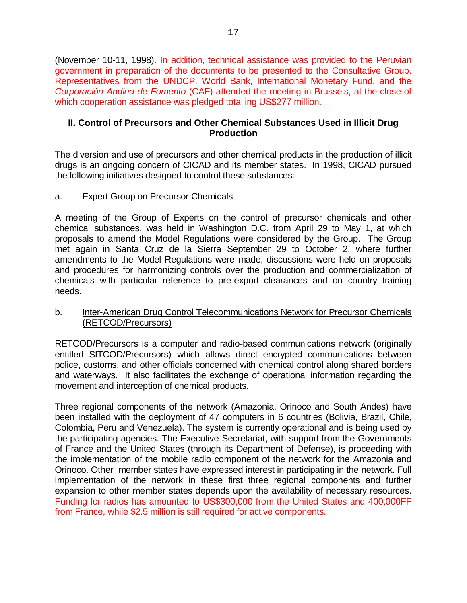(November 10-11, 1998). In addition, technical assistance was provided to the Peruvian government in preparation of the documents to be presented to the Consultative Group. Representatives from the UNDCP, World Bank, International Monetary Fund, and the *Corporación Andina de Fomento* (CAF) attended the meeting in Brussels, at the close of which cooperation assistance was pledged totalling US\$277 million.

### **II. Control of Precursors and Other Chemical Substances Used in Illicit Drug Production**

The diversion and use of precursors and other chemical products in the production of illicit drugs is an ongoing concern of CICAD and its member states. In 1998, CICAD pursued the following initiatives designed to control these substances:

### a. Expert Group on Precursor Chemicals

A meeting of the Group of Experts on the control of precursor chemicals and other chemical substances, was held in Washington D.C. from April 29 to May 1, at which proposals to amend the Model Regulations were considered by the Group. The Group met again in Santa Cruz de la Sierra September 29 to October 2, where further amendments to the Model Regulations were made, discussions were held on proposals and procedures for harmonizing controls over the production and commercialization of chemicals with particular reference to pre-export clearances and on country training needs.

### b. Inter-American Drug Control Telecommunications Network for Precursor Chemicals (RETCOD/Precursors)

RETCOD/Precursors is a computer and radio-based communications network (originally entitled SITCOD/Precursors) which allows direct encrypted communications between police, customs, and other officials concerned with chemical control along shared borders and waterways. It also facilitates the exchange of operational information regarding the movement and interception of chemical products.

Three regional components of the network (Amazonia, Orinoco and South Andes) have been installed with the deployment of 47 computers in 6 countries (Bolivia, Brazil, Chile, Colombia, Peru and Venezuela). The system is currently operational and is being used by the participating agencies. The Executive Secretariat, with support from the Governments of France and the United States (through its Department of Defense), is proceeding with the implementation of the mobile radio component of the network for the Amazonia and Orinoco. Other member states have expressed interest in participating in the network. Full implementation of the network in these first three regional components and further expansion to other member states depends upon the availability of necessary resources. Funding for radios has amounted to US\$300,000 from the United States and 400,000FF from France, while \$2.5 million is still required for active components.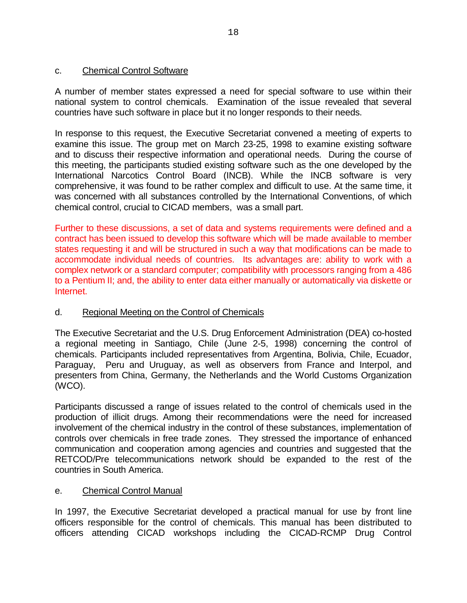### c. Chemical Control Software

A number of member states expressed a need for special software to use within their national system to control chemicals. Examination of the issue revealed that several countries have such software in place but it no longer responds to their needs.

In response to this request, the Executive Secretariat convened a meeting of experts to examine this issue. The group met on March 23-25, 1998 to examine existing software and to discuss their respective information and operational needs. During the course of this meeting, the participants studied existing software such as the one developed by the International Narcotics Control Board (INCB). While the INCB software is very comprehensive, it was found to be rather complex and difficult to use. At the same time, it was concerned with all substances controlled by the International Conventions, of which chemical control, crucial to CICAD members, was a small part.

Further to these discussions, a set of data and systems requirements were defined and a contract has been issued to develop this software which will be made available to member states requesting it and will be structured in such a way that modifications can be made to accommodate individual needs of countries. Its advantages are: ability to work with a complex network or a standard computer; compatibility with processors ranging from a 486 to a Pentium II; and, the ability to enter data either manually or automatically via diskette or Internet.

### d. Regional Meeting on the Control of Chemicals

The Executive Secretariat and the U.S. Drug Enforcement Administration (DEA) co-hosted a regional meeting in Santiago, Chile (June 2-5, 1998) concerning the control of chemicals. Participants included representatives from Argentina, Bolivia, Chile, Ecuador, Paraguay, Peru and Uruguay, as well as observers from France and Interpol, and presenters from China, Germany, the Netherlands and the World Customs Organization (WCO).

Participants discussed a range of issues related to the control of chemicals used in the production of illicit drugs. Among their recommendations were the need for increased involvement of the chemical industry in the control of these substances, implementation of controls over chemicals in free trade zones. They stressed the importance of enhanced communication and cooperation among agencies and countries and suggested that the RETCOD/Pre telecommunications network should be expanded to the rest of the countries in South America.

### e. Chemical Control Manual

In 1997, the Executive Secretariat developed a practical manual for use by front line officers responsible for the control of chemicals. This manual has been distributed to officers attending CICAD workshops including the CICAD-RCMP Drug Control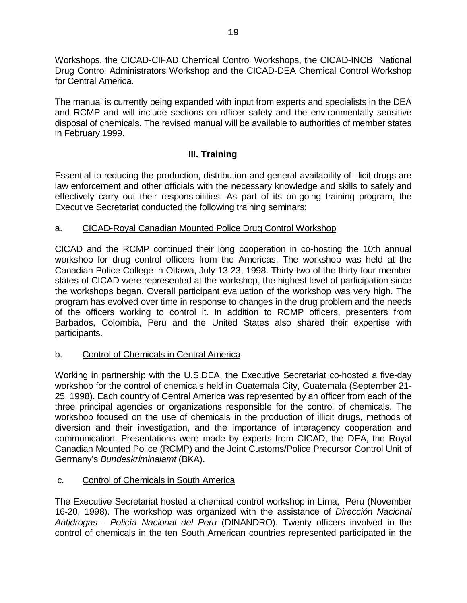Workshops, the CICAD-CIFAD Chemical Control Workshops, the CICAD-INCB National Drug Control Administrators Workshop and the CICAD-DEA Chemical Control Workshop for Central America.

The manual is currently being expanded with input from experts and specialists in the DEA and RCMP and will include sections on officer safety and the environmentally sensitive disposal of chemicals. The revised manual will be available to authorities of member states in February 1999.

# **III. Training**

Essential to reducing the production, distribution and general availability of illicit drugs are law enforcement and other officials with the necessary knowledge and skills to safely and effectively carry out their responsibilities. As part of its on-going training program, the Executive Secretariat conducted the following training seminars:

### a. CICAD-Royal Canadian Mounted Police Drug Control Workshop

CICAD and the RCMP continued their long cooperation in co-hosting the 10th annual workshop for drug control officers from the Americas. The workshop was held at the Canadian Police College in Ottawa, July 13-23, 1998. Thirty-two of the thirty-four member states of CICAD were represented at the workshop, the highest level of participation since the workshops began. Overall participant evaluation of the workshop was very high. The program has evolved over time in response to changes in the drug problem and the needs of the officers working to control it. In addition to RCMP officers, presenters from Barbados, Colombia, Peru and the United States also shared their expertise with participants.

### b. Control of Chemicals in Central America

Working in partnership with the U.S.DEA, the Executive Secretariat co-hosted a five-day workshop for the control of chemicals held in Guatemala City, Guatemala (September 21- 25, 1998). Each country of Central America was represented by an officer from each of the three principal agencies or organizations responsible for the control of chemicals. The workshop focused on the use of chemicals in the production of illicit drugs, methods of diversion and their investigation, and the importance of interagency cooperation and communication. Presentations were made by experts from CICAD, the DEA, the Royal Canadian Mounted Police (RCMP) and the Joint Customs/Police Precursor Control Unit of Germany's *Bundeskriminalamt* (BKA).

### c. Control of Chemicals in South America

The Executive Secretariat hosted a chemical control workshop in Lima, Peru (November 16-20, 1998). The workshop was organized with the assistance of *Dirección Nacional Antidrogas - Policía Nacional del Peru* (DINANDRO). Twenty officers involved in the control of chemicals in the ten South American countries represented participated in the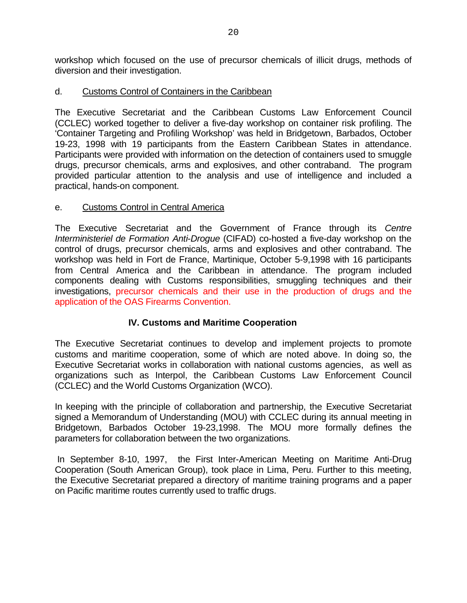workshop which focused on the use of precursor chemicals of illicit drugs, methods of diversion and their investigation.

### d. Customs Control of Containers in the Caribbean

The Executive Secretariat and the Caribbean Customs Law Enforcement Council (CCLEC) worked together to deliver a five-day workshop on container risk profiling. The 'Container Targeting and Profiling Workshop' was held in Bridgetown, Barbados, October 19-23, 1998 with 19 participants from the Eastern Caribbean States in attendance. Participants were provided with information on the detection of containers used to smuggle drugs, precursor chemicals, arms and explosives, and other contraband. The program provided particular attention to the analysis and use of intelligence and included a practical, hands-on component.

### e. Customs Control in Central America

The Executive Secretariat and the Government of France through its *Centre Interministeriel de Formation Anti-Drogue* (CIFAD) co-hosted a five-day workshop on the control of drugs, precursor chemicals, arms and explosives and other contraband. The workshop was held in Fort de France, Martinique, October 5-9,1998 with 16 participants from Central America and the Caribbean in attendance. The program included components dealing with Customs responsibilities, smuggling techniques and their investigations, precursor chemicals and their use in the production of drugs and the application of the OAS Firearms Convention.

### **IV. Customs and Maritime Cooperation**

The Executive Secretariat continues to develop and implement projects to promote customs and maritime cooperation, some of which are noted above. In doing so, the Executive Secretariat works in collaboration with national customs agencies, as well as organizations such as Interpol, the Caribbean Customs Law Enforcement Council (CCLEC) and the World Customs Organization (WCO).

In keeping with the principle of collaboration and partnership, the Executive Secretariat signed a Memorandum of Understanding (MOU) with CCLEC during its annual meeting in Bridgetown, Barbados October 19-23,1998. The MOU more formally defines the parameters for collaboration between the two organizations.

 In September 8-10, 1997, the First Inter-American Meeting on Maritime Anti-Drug Cooperation (South American Group), took place in Lima, Peru. Further to this meeting, the Executive Secretariat prepared a directory of maritime training programs and a paper on Pacific maritime routes currently used to traffic drugs.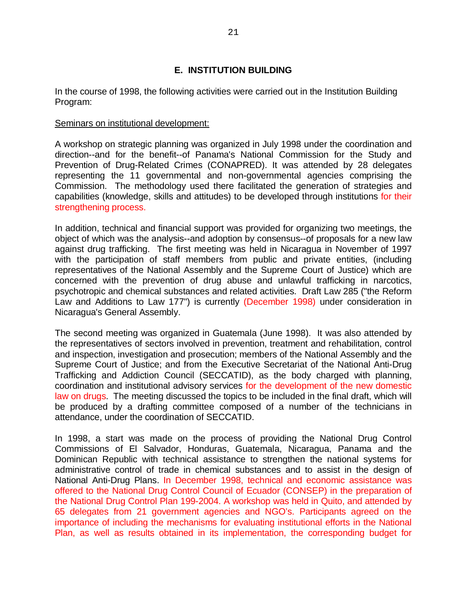### **E. INSTITUTION BUILDING**

In the course of 1998, the following activities were carried out in the Institution Building Program:

#### Seminars on institutional development:

A workshop on strategic planning was organized in July 1998 under the coordination and direction--and for the benefit--of Panama's National Commission for the Study and Prevention of Drug-Related Crimes (CONAPRED). It was attended by 28 delegates representing the 11 governmental and non-governmental agencies comprising the Commission. The methodology used there facilitated the generation of strategies and capabilities (knowledge, skills and attitudes) to be developed through institutions for their strengthening process.

In addition, technical and financial support was provided for organizing two meetings, the object of which was the analysis--and adoption by consensus--of proposals for a new law against drug trafficking. The first meeting was held in Nicaragua in November of 1997 with the participation of staff members from public and private entities, (including representatives of the National Assembly and the Supreme Court of Justice) which are concerned with the prevention of drug abuse and unlawful trafficking in narcotics, psychotropic and chemical substances and related activities. Draft Law 285 ("the Reform Law and Additions to Law 177") is currently (December 1998) under consideration in Nicaragua's General Assembly.

The second meeting was organized in Guatemala (June 1998). It was also attended by the representatives of sectors involved in prevention, treatment and rehabilitation, control and inspection, investigation and prosecution; members of the National Assembly and the Supreme Court of Justice; and from the Executive Secretariat of the National Anti-Drug Trafficking and Addiction Council (SECCATID), as the body charged with planning, coordination and institutional advisory services for the development of the new domestic law on drugs. The meeting discussed the topics to be included in the final draft, which will be produced by a drafting committee composed of a number of the technicians in attendance, under the coordination of SECCATID.

In 1998, a start was made on the process of providing the National Drug Control Commissions of El Salvador, Honduras, Guatemala, Nicaragua, Panama and the Dominican Republic with technical assistance to strengthen the national systems for administrative control of trade in chemical substances and to assist in the design of National Anti-Drug Plans. In December 1998, technical and economic assistance was offered to the National Drug Control Council of Ecuador (CONSEP) in the preparation of the National Drug Control Plan 199-2004. A workshop was held in Quito, and attended by 65 delegates from 21 government agencies and NGO's. Participants agreed on the importance of including the mechanisms for evaluating institutional efforts in the National Plan, as well as results obtained in its implementation, the corresponding budget for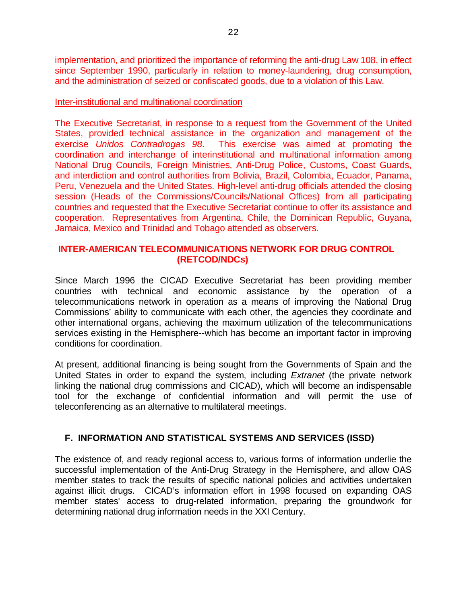implementation, and prioritized the importance of reforming the anti-drug Law 108, in effect since September 1990, particularly in relation to money-laundering, drug consumption, and the administration of seized or confiscated goods, due to a violation of this Law.

#### Inter-institutional and multinational coordination

The Executive Secretariat, in response to a request from the Government of the United States, provided technical assistance in the organization and management of the exercise *Unidos Contradrogas 98*. This exercise was aimed at promoting the coordination and interchange of interinstitutional and multinational information among National Drug Councils, Foreign Ministries, Anti-Drug Police, Customs, Coast Guards, and interdiction and control authorities from Bolivia, Brazil, Colombia, Ecuador, Panama, Peru, Venezuela and the United States. High-level anti-drug officials attended the closing session (Heads of the Commissions/Councils/National Offices) from all participating countries and requested that the Executive Secretariat continue to offer its assistance and cooperation. Representatives from Argentina, Chile, the Dominican Republic, Guyana, Jamaica, Mexico and Trinidad and Tobago attended as observers.

### **INTER-AMERICAN TELECOMMUNICATIONS NETWORK FOR DRUG CONTROL (RETCOD/NDCs)**

Since March 1996 the CICAD Executive Secretariat has been providing member countries with technical and economic assistance by the operation of a telecommunications network in operation as a means of improving the National Drug Commissions' ability to communicate with each other, the agencies they coordinate and other international organs, achieving the maximum utilization of the telecommunications services existing in the Hemisphere--which has become an important factor in improving conditions for coordination.

At present, additional financing is being sought from the Governments of Spain and the United States in order to expand the system, including *Extranet* (the private network linking the national drug commissions and CICAD), which will become an indispensable tool for the exchange of confidential information and will permit the use of teleconferencing as an alternative to multilateral meetings.

### **F. INFORMATION AND STATISTICAL SYSTEMS AND SERVICES (ISSD)**

The existence of, and ready regional access to, various forms of information underlie the successful implementation of the Anti-Drug Strategy in the Hemisphere, and allow OAS member states to track the results of specific national policies and activities undertaken against illicit drugs. CICAD's information effort in 1998 focused on expanding OAS member states' access to drug-related information, preparing the groundwork for determining national drug information needs in the XXI Century.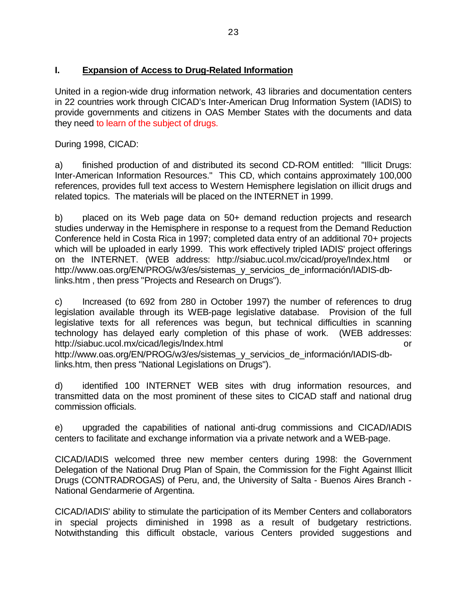### **I. Expansion of Access to Drug-Related Information**

United in a region-wide drug information network, 43 libraries and documentation centers in 22 countries work through CICAD's Inter-American Drug Information System (IADIS) to provide governments and citizens in OAS Member States with the documents and data they need to learn of the subject of drugs.

During 1998, CICAD:

a) finished production of and distributed its second CD-ROM entitled: "Illicit Drugs: Inter-American Information Resources." This CD, which contains approximately 100,000 references, provides full text access to Western Hemisphere legislation on illicit drugs and related topics. The materials will be placed on the INTERNET in 1999.

b) placed on its Web page data on 50+ demand reduction projects and research studies underway in the Hemisphere in response to a request from the Demand Reduction Conference held in Costa Rica in 1997; completed data entry of an additional 70+ projects which will be uploaded in early 1999. This work effectively tripled IADIS' project offerings on the INTERNET. (WEB address: http://siabuc.ucol.mx/cicad/proye/Index.html or http://www.oas.org/EN/PROG/w3/es/sistemas\_y\_servicios\_de\_información/IADIS-dblinks.htm , then press "Projects and Research on Drugs").

c) Increased (to 692 from 280 in October 1997) the number of references to drug legislation available through its WEB-page legislative database. Provision of the full legislative texts for all references was begun, but technical difficulties in scanning technology has delayed early completion of this phase of work. (WEB addresses: http://siabuc.ucol.mx/cicad/legis/Index.html or

http://www.oas.org/EN/PROG/w3/es/sistemas\_y\_servicios\_de\_información/IADIS-dblinks.htm, then press "National Legislations on Drugs").

d) identified 100 INTERNET WEB sites with drug information resources, and transmitted data on the most prominent of these sites to CICAD staff and national drug commission officials.

e) upgraded the capabilities of national anti-drug commissions and CICAD/IADIS centers to facilitate and exchange information via a private network and a WEB-page.

CICAD/IADIS welcomed three new member centers during 1998: the Government Delegation of the National Drug Plan of Spain, the Commission for the Fight Against Illicit Drugs (CONTRADROGAS) of Peru, and, the University of Salta - Buenos Aires Branch - National Gendarmerie of Argentina.

CICAD/IADIS' ability to stimulate the participation of its Member Centers and collaborators in special projects diminished in 1998 as a result of budgetary restrictions. Notwithstanding this difficult obstacle, various Centers provided suggestions and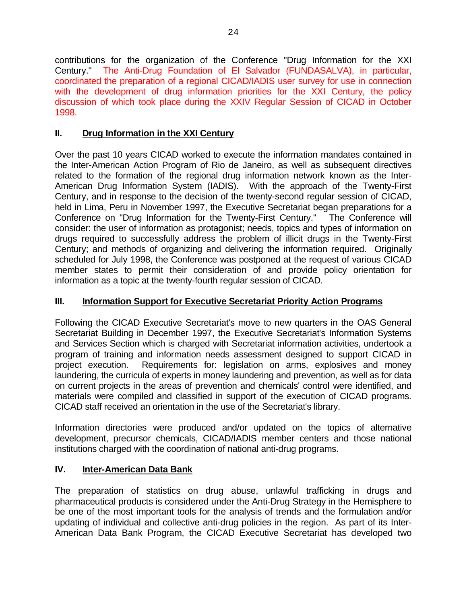contributions for the organization of the Conference "Drug Information for the XXI Century." The Anti-Drug Foundation of El Salvador (FUNDASALVA), in particular, coordinated the preparation of a regional CICAD/IADIS user survey for use in connection with the development of drug information priorities for the XXI Century, the policy discussion of which took place during the XXIV Regular Session of CICAD in October 1998.

# **II. Drug Information in the XXI Century**

Over the past 10 years CICAD worked to execute the information mandates contained in the Inter-American Action Program of Rio de Janeiro, as well as subsequent directives related to the formation of the regional drug information network known as the Inter-American Drug Information System (IADIS). With the approach of the Twenty-First Century, and in response to the decision of the twenty-second regular session of CICAD, held in Lima, Peru in November 1997, the Executive Secretariat began preparations for a Conference on "Drug Information for the Twenty-First Century." The Conference will consider: the user of information as protagonist; needs, topics and types of information on drugs required to successfully address the problem of illicit drugs in the Twenty-First Century; and methods of organizing and delivering the information required. Originally scheduled for July 1998, the Conference was postponed at the request of various CICAD member states to permit their consideration of and provide policy orientation for information as a topic at the twenty-fourth regular session of CICAD.

# **III. Information Support for Executive Secretariat Priority Action Programs**

Following the CICAD Executive Secretariat's move to new quarters in the OAS General Secretariat Building in December 1997, the Executive Secretariat's Information Systems and Services Section which is charged with Secretariat information activities, undertook a program of training and information needs assessment designed to support CICAD in project execution. Requirements for: legislation on arms, explosives and money laundering, the curricula of experts in money laundering and prevention, as well as for data on current projects in the areas of prevention and chemicals' control were identified, and materials were compiled and classified in support of the execution of CICAD programs. CICAD staff received an orientation in the use of the Secretariat's library.

Information directories were produced and/or updated on the topics of alternative development, precursor chemicals, CICAD/IADIS member centers and those national institutions charged with the coordination of national anti-drug programs.

# **IV. Inter-American Data Bank**

The preparation of statistics on drug abuse, unlawful trafficking in drugs and pharmaceutical products is considered under the Anti-Drug Strategy in the Hemisphere to be one of the most important tools for the analysis of trends and the formulation and/or updating of individual and collective anti-drug policies in the region. As part of its Inter-American Data Bank Program, the CICAD Executive Secretariat has developed two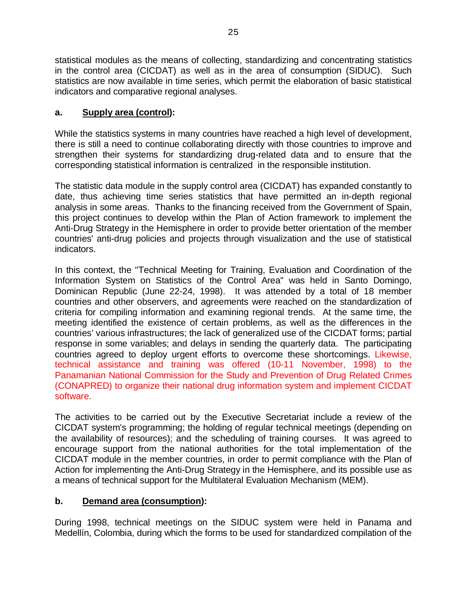statistical modules as the means of collecting, standardizing and concentrating statistics in the control area (CICDAT) as well as in the area of consumption (SIDUC). Such statistics are now available in time series, which permit the elaboration of basic statistical indicators and comparative regional analyses.

# **a. Supply area (control):**

While the statistics systems in many countries have reached a high level of development, there is still a need to continue collaborating directly with those countries to improve and strengthen their systems for standardizing drug-related data and to ensure that the corresponding statistical information is centralized in the responsible institution.

The statistic data module in the supply control area (CICDAT) has expanded constantly to date, thus achieving time series statistics that have permitted an in-depth regional analysis in some areas. Thanks to the financing received from the Government of Spain, this project continues to develop within the Plan of Action framework to implement the Anti-Drug Strategy in the Hemisphere in order to provide better orientation of the member countries' anti-drug policies and projects through visualization and the use of statistical indicators.

In this context, the "Technical Meeting for Training, Evaluation and Coordination of the Information System on Statistics of the Control Area" was held in Santo Domingo, Dominican Republic (June 22-24, 1998). It was attended by a total of 18 member countries and other observers, and agreements were reached on the standardization of criteria for compiling information and examining regional trends. At the same time, the meeting identified the existence of certain problems, as well as the differences in the countries' various infrastructures; the lack of generalized use of the CICDAT forms; partial response in some variables; and delays in sending the quarterly data. The participating countries agreed to deploy urgent efforts to overcome these shortcomings. Likewise, technical assistance and training was offered (10-11 November, 1998) to the Panamanian National Commission for the Study and Prevention of Drug Related Crimes (CONAPRED) to organize their national drug information system and implement CICDAT software.

The activities to be carried out by the Executive Secretariat include a review of the CICDAT system's programming; the holding of regular technical meetings (depending on the availability of resources); and the scheduling of training courses. It was agreed to encourage support from the national authorities for the total implementation of the CICDAT module in the member countries, in order to permit compliance with the Plan of Action for implementing the Anti-Drug Strategy in the Hemisphere, and its possible use as a means of technical support for the Multilateral Evaluation Mechanism (MEM).

# **b. Demand area (consumption):**

During 1998, technical meetings on the SIDUC system were held in Panama and Medellín, Colombia, during which the forms to be used for standardized compilation of the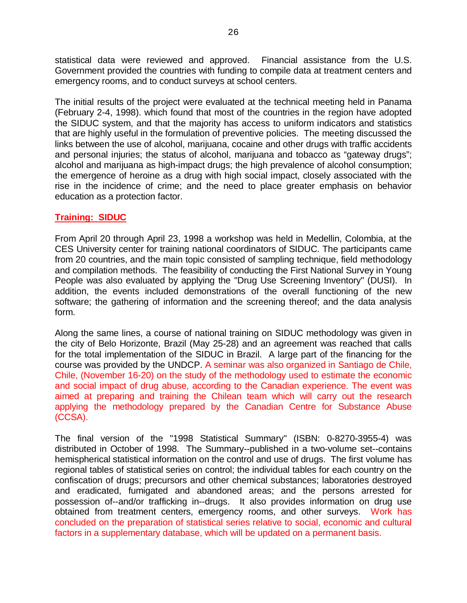statistical data were reviewed and approved. Financial assistance from the U.S. Government provided the countries with funding to compile data at treatment centers and emergency rooms, and to conduct surveys at school centers.

The initial results of the project were evaluated at the technical meeting held in Panama (February 2-4, 1998). which found that most of the countries in the region have adopted the SIDUC system, and that the majority has access to uniform indicators and statistics that are highly useful in the formulation of preventive policies. The meeting discussed the links between the use of alcohol, marijuana, cocaine and other drugs with traffic accidents and personal injuries; the status of alcohol, marijuana and tobacco as "gateway drugs"; alcohol and marijuana as high-impact drugs; the high prevalence of alcohol consumption; the emergence of heroine as a drug with high social impact, closely associated with the rise in the incidence of crime; and the need to place greater emphasis on behavior education as a protection factor.

### **Training: SIDUC**

From April 20 through April 23, 1998 a workshop was held in Medellin, Colombia, at the CES University center for training national coordinators of SIDUC. The participants came from 20 countries, and the main topic consisted of sampling technique, field methodology and compilation methods. The feasibility of conducting the First National Survey in Young People was also evaluated by applying the "Drug Use Screening Inventory" (DUSI). In addition, the events included demonstrations of the overall functioning of the new software; the gathering of information and the screening thereof; and the data analysis form.

Along the same lines, a course of national training on SIDUC methodology was given in the city of Belo Horizonte, Brazil (May 25-28) and an agreement was reached that calls for the total implementation of the SIDUC in Brazil. A large part of the financing for the course was provided by the UNDCP. A seminar was also organized in Santiago de Chile, Chile, (November 16-20) on the study of the methodology used to estimate the economic and social impact of drug abuse, according to the Canadian experience. The event was aimed at preparing and training the Chilean team which will carry out the research applying the methodology prepared by the Canadian Centre for Substance Abuse (CCSA).

The final version of the "1998 Statistical Summary" (ISBN: 0-8270-3955-4) was distributed in October of 1998. The Summary--published in a two-volume set--contains hemispherical statistical information on the control and use of drugs. The first volume has regional tables of statistical series on control; the individual tables for each country on the confiscation of drugs; precursors and other chemical substances; laboratories destroyed and eradicated, fumigated and abandoned areas; and the persons arrested for possession of--and/or trafficking in--drugs. It also provides information on drug use obtained from treatment centers, emergency rooms, and other surveys. Work has concluded on the preparation of statistical series relative to social, economic and cultural factors in a supplementary database, which will be updated on a permanent basis.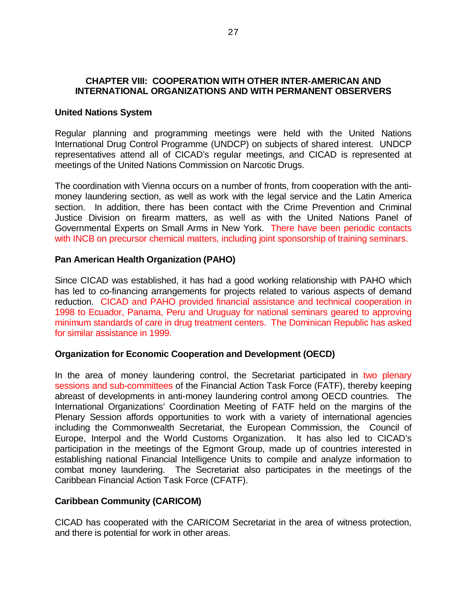### **CHAPTER VIII: COOPERATION WITH OTHER INTER-AMERICAN AND INTERNATIONAL ORGANIZATIONS AND WITH PERMANENT OBSERVERS**

#### **United Nations System**

Regular planning and programming meetings were held with the United Nations International Drug Control Programme (UNDCP) on subjects of shared interest. UNDCP representatives attend all of CICAD's regular meetings, and CICAD is represented at meetings of the United Nations Commission on Narcotic Drugs.

The coordination with Vienna occurs on a number of fronts, from cooperation with the antimoney laundering section, as well as work with the legal service and the Latin America section. In addition, there has been contact with the Crime Prevention and Criminal Justice Division on firearm matters, as well as with the United Nations Panel of Governmental Experts on Small Arms in New York. There have been periodic contacts with INCB on precursor chemical matters, including joint sponsorship of training seminars.

### **Pan American Health Organization (PAHO)**

Since CICAD was established, it has had a good working relationship with PAHO which has led to co-financing arrangements for projects related to various aspects of demand reduction. CICAD and PAHO provided financial assistance and technical cooperation in 1998 to Ecuador, Panama, Peru and Uruguay for national seminars geared to approving minimum standards of care in drug treatment centers. The Dominican Republic has asked for similar assistance in 1999.

#### **Organization for Economic Cooperation and Development (OECD)**

In the area of money laundering control, the Secretariat participated in two plenary sessions and sub-committees of the Financial Action Task Force (FATF), thereby keeping abreast of developments in anti-money laundering control among OECD countries. The International Organizations' Coordination Meeting of FATF held on the margins of the Plenary Session affords opportunities to work with a variety of international agencies including the Commonwealth Secretariat, the European Commission, the Council of Europe, Interpol and the World Customs Organization. It has also led to CICAD's participation in the meetings of the Egmont Group, made up of countries interested in establishing national Financial Intelligence Units to compile and analyze information to combat money laundering. The Secretariat also participates in the meetings of the Caribbean Financial Action Task Force (CFATF).

### **Caribbean Community (CARICOM)**

CICAD has cooperated with the CARICOM Secretariat in the area of witness protection, and there is potential for work in other areas.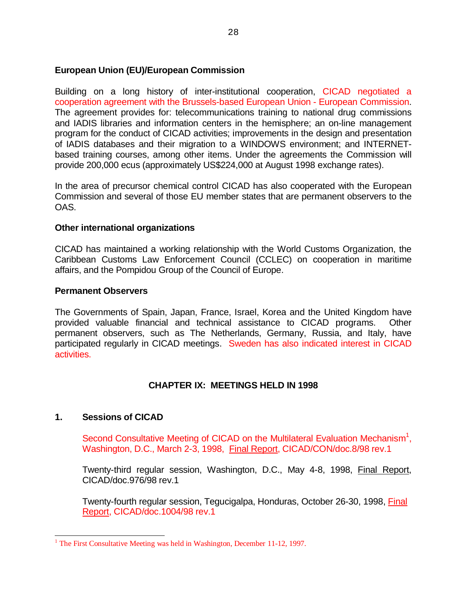### **European Union (EU)/European Commission**

Building on a long history of inter-institutional cooperation, CICAD negotiated a cooperation agreement with the Brussels-based European Union - European Commission. The agreement provides for: telecommunications training to national drug commissions and IADIS libraries and information centers in the hemisphere; an on-line management program for the conduct of CICAD activities; improvements in the design and presentation of IADIS databases and their migration to a WINDOWS environment; and INTERNETbased training courses, among other items. Under the agreements the Commission will provide 200,000 ecus (approximately US\$224,000 at August 1998 exchange rates).

In the area of precursor chemical control CICAD has also cooperated with the European Commission and several of those EU member states that are permanent observers to the OAS.

### **Other international organizations**

CICAD has maintained a working relationship with the World Customs Organization, the Caribbean Customs Law Enforcement Council (CCLEC) on cooperation in maritime affairs, and the Pompidou Group of the Council of Europe.

#### **Permanent Observers**

The Governments of Spain, Japan, France, Israel, Korea and the United Kingdom have provided valuable financial and technical assistance to CICAD programs. Other permanent observers, such as The Netherlands, Germany, Russia, and Italy, have participated regularly in CICAD meetings. Sweden has also indicated interest in CICAD activities.

### **CHAPTER IX: MEETINGS HELD IN 1998**

### **1. Sessions of CICAD**

Second Consultative Meeting of CICAD on the Multilateral Evaluation Mechanism<sup>1</sup>, Washington, D.C., March 2-3, 1998, Final Report, CICAD/CON/doc.8/98 rev.1

Twenty-third regular session, Washington, D.C., May 4-8, 1998, Final Report, CICAD/doc.976/98 rev.1

Twenty-fourth regular session, Tegucigalpa, Honduras, October 26-30, 1998, Final Report, CICAD/doc.1004/98 rev.1

<sup>-</sup><sup>1</sup> The First Consultative Meeting was held in Washington, December 11-12, 1997.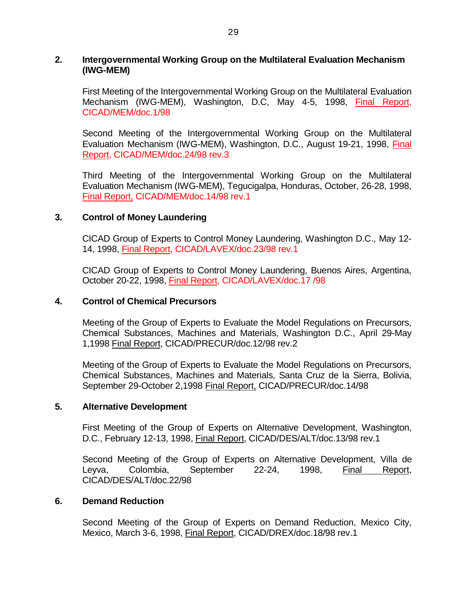#### **2. Intergovernmental Working Group on the Multilateral Evaluation Mechanism (IWG-MEM)**

First Meeting of the Intergovernmental Working Group on the Multilateral Evaluation Mechanism (IWG-MEM), Washington, D.C, May 4-5, 1998, Final Report, CICAD/MEM/doc.1/98

Second Meeting of the Intergovernmental Working Group on the Multilateral Evaluation Mechanism (IWG-MEM), Washington, D.C., August 19-21, 1998, Final Report, CICAD/MEM/doc.24/98 rev.3

Third Meeting of the Intergovernmental Working Group on the Multilateral Evaluation Mechanism (IWG-MEM), Tegucigalpa, Honduras, October, 26-28, 1998, Final Report, CICAD/MEM/doc.14/98 rev.1

#### **3. Control of Money Laundering**

CICAD Group of Experts to Control Money Laundering, Washington D.C., May 12- 14, 1998, Final Report, CICAD/LAVEX/doc.23/98 rev.1

CICAD Group of Experts to Control Money Laundering, Buenos Aires, Argentina, October 20-22, 1998, Final Report, CICAD/LAVEX/doc.17 /98

#### **4. Control of Chemical Precursors**

Meeting of the Group of Experts to Evaluate the Model Regulations on Precursors, Chemical Substances, Machines and Materials, Washington D.C., April 29-May 1,1998 Final Report, CICAD/PRECUR/doc.12/98 rev.2

Meeting of the Group of Experts to Evaluate the Model Regulations on Precursors, Chemical Substances, Machines and Materials, Santa Cruz de la Sierra, Bolivia, September 29-October 2,1998 Final Report, CICAD/PRECUR/doc.14/98

#### **5. Alternative Development**

First Meeting of the Group of Experts on Alternative Development, Washington, D.C., February 12-13, 1998, Final Report, CICAD/DES/ALT/doc.13/98 rev.1

Second Meeting of the Group of Experts on Alternative Development, Villa de Leyva, Colombia, September 22-24, 1998, Final Report, CICAD/DES/ALT/doc.22/98

#### **6. Demand Reduction**

Second Meeting of the Group of Experts on Demand Reduction, Mexico City, Mexico, March 3-6, 1998, Final Report, CICAD/DREX/doc.18/98 rev.1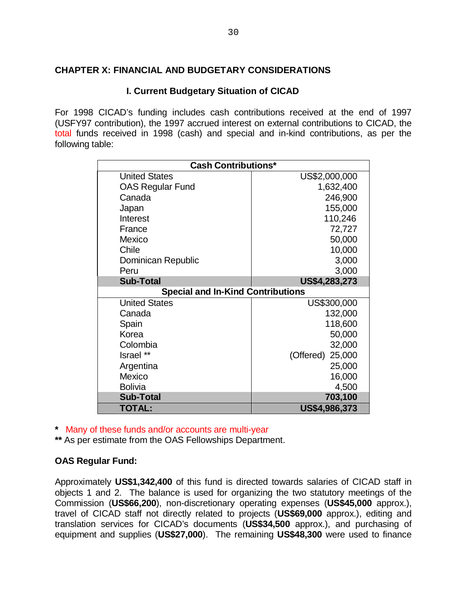### **CHAPTER X: FINANCIAL AND BUDGETARY CONSIDERATIONS**

### **I. Current Budgetary Situation of CICAD**

For 1998 CICAD's funding includes cash contributions received at the end of 1997 (USFY97 contribution), the 1997 accrued interest on external contributions to CICAD, the total funds received in 1998 (cash) and special and in-kind contributions, as per the following table:

| <b>Cash Contributions*</b>               |                     |  |  |
|------------------------------------------|---------------------|--|--|
| <b>United States</b>                     | US\$2,000,000       |  |  |
| <b>OAS Regular Fund</b>                  | 1,632,400           |  |  |
| Canada                                   | 246,900             |  |  |
| Japan                                    | 155,000             |  |  |
| Interest                                 | 110,246             |  |  |
| France                                   | 72,727              |  |  |
| Mexico                                   | 50,000              |  |  |
| Chile                                    | 10,000              |  |  |
| Dominican Republic                       | 3,000               |  |  |
| Peru                                     | 3,000               |  |  |
| <b>Sub-Total</b>                         | US\$4,283,273       |  |  |
| <b>Special and In-Kind Contributions</b> |                     |  |  |
| <b>United States</b>                     | US\$300,000         |  |  |
| Canada                                   | 132,000             |  |  |
| Spain                                    | 118,600             |  |  |
| Korea                                    | 50,000              |  |  |
| Colombia                                 | 32,000              |  |  |
| Israel **                                | (Offered)<br>25,000 |  |  |
| Argentina                                | 25,000              |  |  |
| Mexico                                   | 16,000              |  |  |
| <b>Bolivia</b>                           | 4,500               |  |  |
| <b>Sub-Total</b>                         | 703,100             |  |  |
| <b>TOTAL:</b>                            | US\$4,986,373       |  |  |

**\*** Many of these funds and/or accounts are multi-year

**\*\*** As per estimate from the OAS Fellowships Department.

### **OAS Regular Fund:**

Approximately **US\$1,342,400** of this fund is directed towards salaries of CICAD staff in objects 1 and 2. The balance is used for organizing the two statutory meetings of the Commission (**US\$66,200**), non-discretionary operating expenses (**US\$45,000** approx.), travel of CICAD staff not directly related to projects (**US\$69,000** approx.), editing and translation services for CICAD's documents (**US\$34,500** approx.), and purchasing of equipment and supplies (**US\$27,000**). The remaining **US\$48,300** were used to finance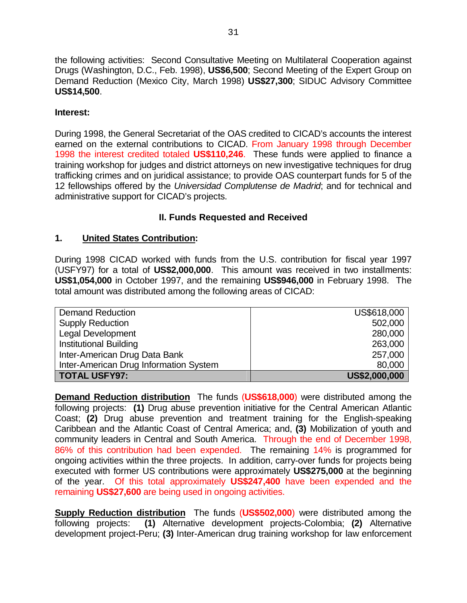the following activities: Second Consultative Meeting on Multilateral Cooperation against Drugs (Washington, D.C., Feb. 1998), **US\$6,500**; Second Meeting of the Expert Group on Demand Reduction (Mexico City, March 1998) **US\$27,300**; SIDUC Advisory Committee **US\$14,500**.

### **Interest:**

During 1998, the General Secretariat of the OAS credited to CICAD's accounts the interest earned on the external contributions to CICAD. From January 1998 through December 1998 the interest credited totaled **US\$110,246**. These funds were applied to finance a training workshop for judges and district attorneys on new investigative techniques for drug trafficking crimes and on juridical assistance; to provide OAS counterpart funds for 5 of the 12 fellowships offered by the *Universidad Complutense de Madrid*; and for technical and administrative support for CICAD's projects.

### **II. Funds Requested and Received**

### **1. United States Contribution:**

During 1998 CICAD worked with funds from the U.S. contribution for fiscal year 1997 (USFY97) for a total of **US\$2,000,000**. This amount was received in two installments: **US\$1,054,000** in October 1997, and the remaining **US\$946,000** in February 1998. The total amount was distributed among the following areas of CICAD:

| <b>Demand Reduction</b>                | US\$618,000   |
|----------------------------------------|---------------|
| <b>Supply Reduction</b>                | 502,000       |
| <b>Legal Development</b>               | 280,000       |
| <b>Institutional Building</b>          | 263,000       |
| Inter-American Drug Data Bank          | 257,000       |
| Inter-American Drug Information System | 80,000        |
| TOTAL USFY97:                          | US\$2,000,000 |

**Demand Reduction distribution** The funds (**US\$618,000**) were distributed among the following projects: **(1)** Drug abuse prevention initiative for the Central American Atlantic Coast; **(2)** Drug abuse prevention and treatment training for the English-speaking Caribbean and the Atlantic Coast of Central America; and, **(3)** Mobilization of youth and community leaders in Central and South America. Through the end of December 1998, 86% of this contribution had been expended. The remaining 14% is programmed for ongoing activities within the three projects. In addition, carry-over funds for projects being executed with former US contributions were approximately **US\$275,000** at the beginning of the year. Of this total approximately **US\$247,400** have been expended and the remaining **US\$27,600** are being used in ongoing activities.

**Supply Reduction distribution** The funds (**US\$502,000**) were distributed among the following projects: **(1)** Alternative development projects-Colombia; **(2)** Alternative development project-Peru; **(3)** Inter-American drug training workshop for law enforcement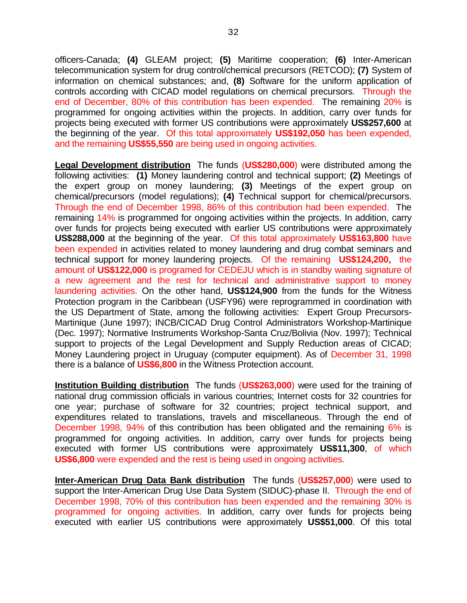officers-Canada; **(4)** GLEAM project; **(5)** Maritime cooperation; **(6)** Inter-American telecommunication system for drug control/chemical precursors (RETCOD); **(7)** System of information on chemical substances; and, **(8)** Software for the uniform application of controls according with CICAD model regulations on chemical precursors. Through the end of December, 80% of this contribution has been expended. The remaining 20% is programmed for ongoing activities within the projects. In addition, carry over funds for projects being executed with former US contributions were approximately **US\$257,600** at the beginning of the year. Of this total approximately **US\$192,050** has been expended, and the remaining **US\$55,550** are being used in ongoing activities.

**Legal Development distribution** The funds (**US\$280,000**) were distributed among the following activities: **(1)** Money laundering control and technical support; **(2)** Meetings of the expert group on money laundering; **(3)** Meetings of the expert group on chemical/precursors (model regulations); **(4)** Technical support for chemical/precursors. Through the end of December 1998, 86% of this contribution had been expended. The remaining 14% is programmed for ongoing activities within the projects. In addition, carry over funds for projects being executed with earlier US contributions were approximately **US\$288,000** at the beginning of the year. Of this total approximately **US\$163,800** have been expended in activities related to money laundering and drug combat seminars and technical support for money laundering projects. Of the remaining **US\$124,200,** the amount of **US\$122,000** is programed for CEDEJU which is in standby waiting signature of a new agreement and the rest for technical and administrative support to money laundering activities. On the other hand, **US\$124,900** from the funds for the Witness Protection program in the Caribbean (USFY96) were reprogrammed in coordination with the US Department of State, among the following activities: Expert Group Precursors-Martinique (June 1997); INCB/CICAD Drug Control Administrators Workshop-Martinique (Dec. 1997); Normative Instruments Workshop-Santa Cruz/Bolivia (Nov. 1997); Technical support to projects of the Legal Development and Supply Reduction areas of CICAD; Money Laundering project in Uruguay (computer equipment). As of December 31, 1998 there is a balance of **US\$6,800** in the Witness Protection account.

**Institution Building distribution** The funds (US\$263,000) were used for the training of national drug commission officials in various countries; Internet costs for 32 countries for one year; purchase of software for 32 countries; project technical support, and expenditures related to translations, travels and miscellaneous. Through the end of December 1998, 94% of this contribution has been obligated and the remaining 6% is programmed for ongoing activities. In addition, carry over funds for projects being executed with former US contributions were approximately **US\$11,300**, of which **US\$6,800** were expended and the rest is being used in ongoing activities.

**Inter-American Drug Data Bank distribution** The funds (**US\$257,000**) were used to support the Inter-American Drug Use Data System (SIDUC)-phase II. Through the end of December 1998, 70% of this contribution has been expended and the remaining 30% is programmed for ongoing activities. In addition, carry over funds for projects being executed with earlier US contributions were approximately **US\$51,000**. Of this total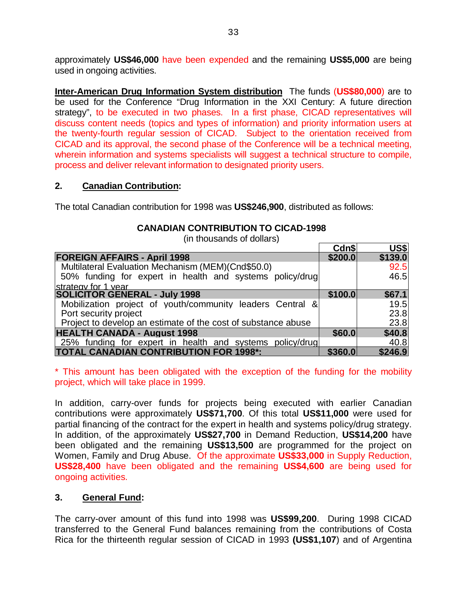approximately **US\$46,000** have been expended and the remaining **US\$5,000** are being used in ongoing activities.

**Inter-American Drug Information System distribution** The funds (**US\$80,000**) are to be used for the Conference "Drug Information in the XXI Century: A future direction strategy", to be executed in two phases. In a first phase, CICAD representatives will discuss content needs (topics and types of information) and priority information users at the twenty-fourth regular session of CICAD. Subject to the orientation received from CICAD and its approval, the second phase of the Conference will be a technical meeting, wherein information and systems specialists will suggest a technical structure to compile, process and deliver relevant information to designated priority users.

### **2. Canadian Contribution:**

The total Canadian contribution for 1998 was **US\$246,900**, distributed as follows:

| <b>CANADIAN CONTRIBUTION TO CICAD-1998</b> |       |  |
|--------------------------------------------|-------|--|
| (in thousands of dollars)                  |       |  |
|                                            | Cdn\$ |  |

|                                                               | Cdn\$   | US\$    |
|---------------------------------------------------------------|---------|---------|
| <b>FOREIGN AFFAIRS - April 1998</b>                           | \$200.0 | \$139.0 |
| Multilateral Evaluation Mechanism (MEM)(Cnd\$50.0)            |         | 92.5    |
| 50% funding for expert in health and systems policy/drug      |         | 46.5    |
| strategy for 1 year                                           |         |         |
| <b>SOLICITOR GENERAL - July 1998</b>                          | \$100.0 | \$67.1  |
| Mobilization project of youth/community leaders Central &     |         | 19.5    |
| Port security project                                         |         | 23.8    |
| Project to develop an estimate of the cost of substance abuse |         | 23.8    |
| <b>HEALTH CANADA - August 1998</b>                            | \$60.0  | \$40.8  |
| 25% funding for expert in health and systems policy/drug      |         | 40.8    |
| <b>TOTAL CANADIAN CONTRIBUTION FOR 1998*:</b>                 | \$360.0 | \$246.9 |

\* This amount has been obligated with the exception of the funding for the mobility project, which will take place in 1999.

In addition, carry-over funds for projects being executed with earlier Canadian contributions were approximately **US\$71,700**. Of this total **US\$11,000** were used for partial financing of the contract for the expert in health and systems policy/drug strategy. In addition, of the approximately **US\$27,700** in Demand Reduction, **US\$14,200** have been obligated and the remaining **US\$13,500** are programmed for the project on Women, Family and Drug Abuse. Of the approximate **US\$33,000** in Supply Reduction, **US\$28,400** have been obligated and the remaining **US\$4,600** are being used for ongoing activities.

### **3. General Fund:**

The carry-over amount of this fund into 1998 was **US\$99,200**. During 1998 CICAD transferred to the General Fund balances remaining from the contributions of Costa Rica for the thirteenth regular session of CICAD in 1993 **(US\$1,107**) and of Argentina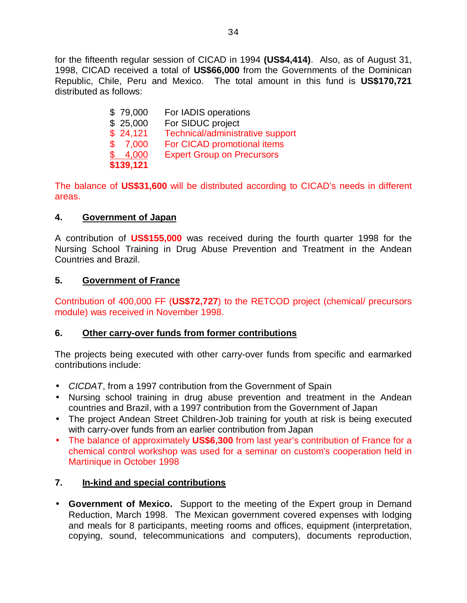for the fifteenth regular session of CICAD in 1994 **(US\$4,414)**. Also, as of August 31, 1998, CICAD received a total of **US\$66,000** from the Governments of the Dominican Republic, Chile, Peru and Mexico. The total amount in this fund is **US\$170,721** distributed as follows:

| \$79,000  | For IADIS operations              |
|-----------|-----------------------------------|
| \$25,000  | For SIDUC project                 |
| \$24,121  | Technical/administrative support  |
| \$7,000   | For CICAD promotional items       |
| \$4,000   | <b>Expert Group on Precursors</b> |
| \$139,121 |                                   |

The balance of **US\$31,600** will be distributed according to CICAD's needs in different areas.

# **4. Government of Japan**

A contribution of **US\$155,000** was received during the fourth quarter 1998 for the Nursing School Training in Drug Abuse Prevention and Treatment in the Andean Countries and Brazil.

### **5. Government of France**

Contribution of 400,000 FF (**US\$72,727**) to the RETCOD project (chemical/ precursors module) was received in November 1998.

### **6. Other carry-over funds from former contributions**

The projects being executed with other carry-over funds from specific and earmarked contributions include:

- *CICDAT*, from a 1997 contribution from the Government of Spain
- Nursing school training in drug abuse prevention and treatment in the Andean countries and Brazil, with a 1997 contribution from the Government of Japan
- The project Andean Street Children-Job training for youth at risk is being executed with carry-over funds from an earlier contribution from Japan
- The balance of approximately **US\$6,300** from last year's contribution of France for a chemical control workshop was used for a seminar on custom's cooperation held in Martinique in October 1998

# **7. In-kind and special contributions**

• **Government of Mexico.** Support to the meeting of the Expert group in Demand Reduction, March 1998. The Mexican government covered expenses with lodging and meals for 8 participants, meeting rooms and offices, equipment (interpretation, copying, sound, telecommunications and computers), documents reproduction,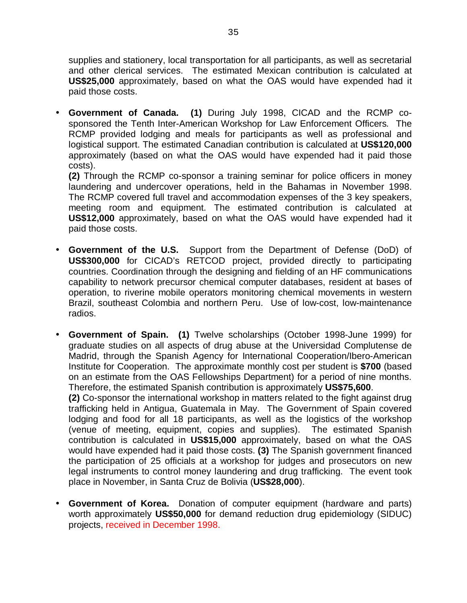supplies and stationery, local transportation for all participants, as well as secretarial and other clerical services. The estimated Mexican contribution is calculated at **US\$25,000** approximately, based on what the OAS would have expended had it paid those costs.

• **Government of Canada. (1)** During July 1998, CICAD and the RCMP cosponsored the Tenth Inter-American Workshop for Law Enforcement Officers*.* The RCMP provided lodging and meals for participants as well as professional and logistical support. The estimated Canadian contribution is calculated at **US\$120,000** approximately (based on what the OAS would have expended had it paid those costs).

**(2)** Through the RCMP co-sponsor a training seminar for police officers in money laundering and undercover operations, held in the Bahamas in November 1998. The RCMP covered full travel and accommodation expenses of the 3 key speakers, meeting room and equipment. The estimated contribution is calculated at **US\$12,000** approximately, based on what the OAS would have expended had it paid those costs.

- **Government of the U.S.** Support from the Department of Defense (DoD) of **US\$300,000** for CICAD's RETCOD project, provided directly to participating countries. Coordination through the designing and fielding of an HF communications capability to network precursor chemical computer databases, resident at bases of operation, to riverine mobile operators monitoring chemical movements in western Brazil, southeast Colombia and northern Peru. Use of low-cost, low-maintenance radios.
- **Government of Spain. (1)** Twelve scholarships (October 1998-June 1999) for graduate studies on all aspects of drug abuse at the Universidad Complutense de Madrid, through the Spanish Agency for International Cooperation/Ibero-American Institute for Cooperation. The approximate monthly cost per student is **\$700** (based on an estimate from the OAS Fellowships Department) for a period of nine months. Therefore, the estimated Spanish contribution is approximately **US\$75,600**.

**(2)** Co-sponsor the international workshop in matters related to the fight against drug trafficking held in Antigua, Guatemala in May. The Government of Spain covered lodging and food for all 18 participants, as well as the logistics of the workshop (venue of meeting, equipment, copies and supplies). The estimated Spanish contribution is calculated in **US\$15,000** approximately, based on what the OAS would have expended had it paid those costs. **(3)** The Spanish government financed the participation of 25 officials at a workshop for judges and prosecutors on new legal instruments to control money laundering and drug trafficking. The event took place in November, in Santa Cruz de Bolivia (**US\$28,000**).

• **Government of Korea.** Donation of computer equipment (hardware and parts) worth approximately **US\$50,000** for demand reduction drug epidemiology (SIDUC) projects, received in December 1998.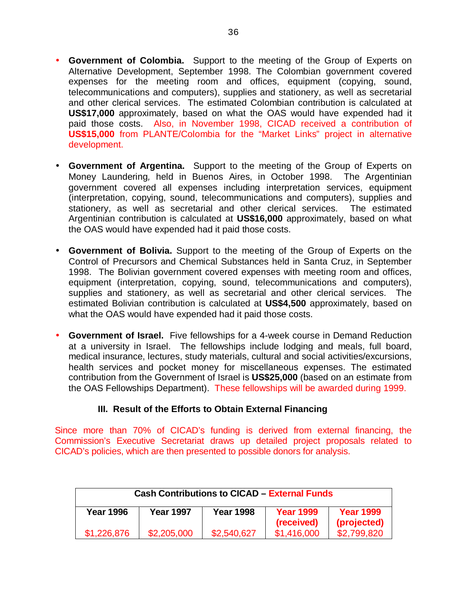- **Government of Colombia.** Support to the meeting of the Group of Experts on Alternative Development, September 1998. The Colombian government covered expenses for the meeting room and offices, equipment (copying, sound, telecommunications and computers), supplies and stationery, as well as secretarial and other clerical services. The estimated Colombian contribution is calculated at **US\$17,000** approximately, based on what the OAS would have expended had it paid those costs. Also, in November 1998, CICAD received a contribution of **US\$15,000** from PLANTE/Colombia for the "Market Links" project in alternative development.
- **Government of Argentina.** Support to the meeting of the Group of Experts on Money Laundering*,* held in Buenos Aires, in October 1998. The Argentinian government covered all expenses including interpretation services, equipment (interpretation, copying, sound, telecommunications and computers), supplies and stationery, as well as secretarial and other clerical services. The estimated Argentinian contribution is calculated at **US\$16,000** approximately, based on what the OAS would have expended had it paid those costs.
- **Government of Bolivia.** Support to the meeting of the Group of Experts on the Control of Precursors and Chemical Substances held in Santa Cruz, in September 1998. The Bolivian government covered expenses with meeting room and offices, equipment (interpretation, copying, sound, telecommunications and computers), supplies and stationery, as well as secretarial and other clerical services. The estimated Bolivian contribution is calculated at **US\$4,500** approximately, based on what the OAS would have expended had it paid those costs.
- **Government of Israel.** Five fellowships for a 4-week course in Demand Reduction at a university in Israel. The fellowships include lodging and meals, full board, medical insurance, lectures, study materials, cultural and social activities/excursions, health services and pocket money for miscellaneous expenses. The estimated contribution from the Government of Israel is **US\$25,000** (based on an estimate from the OAS Fellowships Department). These fellowships will be awarded during 1999.

### **III. Result of the Efforts to Obtain External Financing**

Since more than 70% of CICAD's funding is derived from external financing, the Commission's Executive Secretariat draws up detailed project proposals related to CICAD's policies, which are then presented to possible donors for analysis.

| <b>Cash Contributions to CICAD - External Funds</b> |                  |             |                                |                                 |
|-----------------------------------------------------|------------------|-------------|--------------------------------|---------------------------------|
| <b>Year 1996</b>                                    | <b>Year 1997</b> | Year 1998   | <b>Year 1999</b><br>(received) | <b>Year 1999</b><br>(projected) |
| \$1,226,876                                         | \$2,205,000      | \$2,540,627 | \$1,416,000                    | \$2,799,820                     |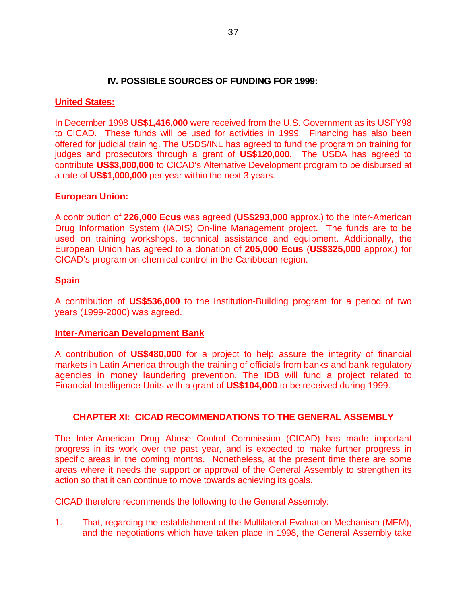### **IV. POSSIBLE SOURCES OF FUNDING FOR 1999:**

#### **United States:**

In December 1998 **US\$1,416,000** were received from the U.S. Government as its USFY98 to CICAD. These funds will be used for activities in 1999. Financing has also been offered for judicial training. The USDS/INL has agreed to fund the program on training for judges and prosecutors through a grant of **US\$120,000.** The USDA has agreed to contribute **US\$3,000,000** to CICAD's Alternative Development program to be disbursed at a rate of **US\$1,000,000** per year within the next 3 years.

#### **European Union:**

A contribution of **226,000 Ecus** was agreed (**US\$293,000** approx.) to the Inter-American Drug Information System (IADIS) On-line Management project. The funds are to be used on training workshops, technical assistance and equipment. Additionally, the European Union has agreed to a donation of **205,000 Ecus** (**US\$325,000** approx.) for CICAD's program on chemical control in the Caribbean region.

#### **Spain**

A contribution of **US\$536,000** to the Institution-Building program for a period of two years (1999-2000) was agreed.

#### **Inter-American Development Bank**

A contribution of **US\$480,000** for a project to help assure the integrity of financial markets in Latin America through the training of officials from banks and bank regulatory agencies in money laundering prevention. The IDB will fund a project related to Financial Intelligence Units with a grant of **US\$104,000** to be received during 1999.

#### **CHAPTER XI: CICAD RECOMMENDATIONS TO THE GENERAL ASSEMBLY**

The Inter-American Drug Abuse Control Commission (CICAD) has made important progress in its work over the past year, and is expected to make further progress in specific areas in the coming months. Nonetheless, at the present time there are some areas where it needs the support or approval of the General Assembly to strengthen its action so that it can continue to move towards achieving its goals.

CICAD therefore recommends the following to the General Assembly:

1. That, regarding the establishment of the Multilateral Evaluation Mechanism (MEM), and the negotiations which have taken place in 1998, the General Assembly take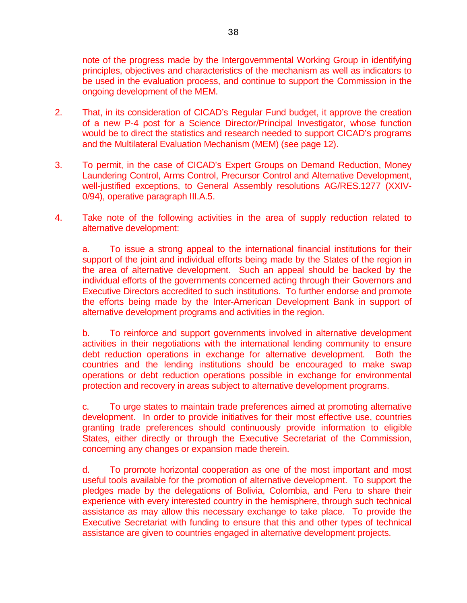note of the progress made by the Intergovernmental Working Group in identifying principles, objectives and characteristics of the mechanism as well as indicators to be used in the evaluation process, and continue to support the Commission in the ongoing development of the MEM.

- 2. That, in its consideration of CICAD's Regular Fund budget, it approve the creation of a new P-4 post for a Science Director/Principal Investigator, whose function would be to direct the statistics and research needed to support CICAD's programs and the Multilateral Evaluation Mechanism (MEM) (see page 12).
- 3. To permit, in the case of CICAD's Expert Groups on Demand Reduction, Money Laundering Control, Arms Control, Precursor Control and Alternative Development, well-justified exceptions, to General Assembly resolutions AG/RES.1277 (XXIV-0/94), operative paragraph III.A.5.
- 4. Take note of the following activities in the area of supply reduction related to alternative development:

a. To issue a strong appeal to the international financial institutions for their support of the joint and individual efforts being made by the States of the region in the area of alternative development. Such an appeal should be backed by the individual efforts of the governments concerned acting through their Governors and Executive Directors accredited to such institutions. To further endorse and promote the efforts being made by the Inter-American Development Bank in support of alternative development programs and activities in the region.

b. To reinforce and support governments involved in alternative development activities in their negotiations with the international lending community to ensure debt reduction operations in exchange for alternative development. Both the countries and the lending institutions should be encouraged to make swap operations or debt reduction operations possible in exchange for environmental protection and recovery in areas subject to alternative development programs.

c. To urge states to maintain trade preferences aimed at promoting alternative development. In order to provide initiatives for their most effective use, countries granting trade preferences should continuously provide information to eligible States, either directly or through the Executive Secretariat of the Commission, concerning any changes or expansion made therein.

d. To promote horizontal cooperation as one of the most important and most useful tools available for the promotion of alternative development. To support the pledges made by the delegations of Bolivia, Colombia, and Peru to share their experience with every interested country in the hemisphere, through such technical assistance as may allow this necessary exchange to take place. To provide the Executive Secretariat with funding to ensure that this and other types of technical assistance are given to countries engaged in alternative development projects.